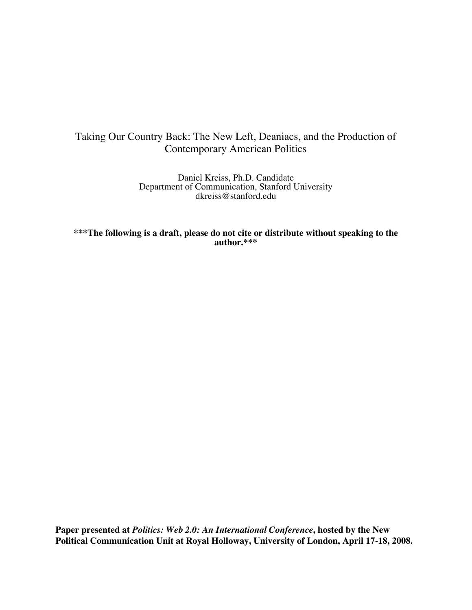# Taking Our Country Back: The New Left, Deaniacs, and the Production of Contemporary American Politics

Daniel Kreiss, Ph.D. Candidate Department of Communication, Stanford University dkreiss@stanford.edu

**\*\*\*The following is a draft, please do not cite or distribute without speaking to the author.\*\*\***

**Paper presented at** *Politics: Web 2.0: An International Conference***, hosted by the New Political Communication Unit at Royal Holloway, University of London, April 17-18, 2008.**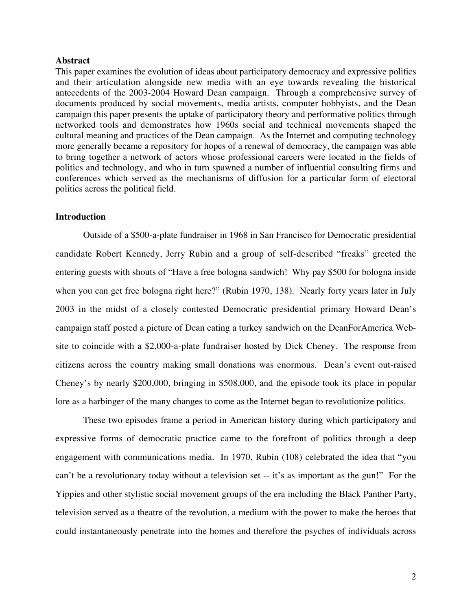#### **Abstract**

This paper examines the evolution of ideas about participatory democracy and expressive politics and their articulation alongside new media with an eye towards revealing the historical antecedents of the 2003-2004 Howard Dean campaign. Through a comprehensive survey of documents produced by social movements, media artists, computer hobbyists, and the Dean campaign this paper presents the uptake of participatory theory and performative politics through networked tools and demonstrates how 1960s social and technical movements shaped the cultural meaning and practices of the Dean campaign. As the Internet and computing technology more generally became a repository for hopes of a renewal of democracy, the campaign was able to bring together a network of actors whose professional careers were located in the fields of politics and technology, and who in turn spawned a number of influential consulting firms and conferences which served as the mechanisms of diffusion for a particular form of electoral politics across the political field.

## **Introduction**

Outside of a \$500-a-plate fundraiser in 1968 in San Francisco for Democratic presidential candidate Robert Kennedy, Jerry Rubin and a group of self-described "freaks" greeted the entering guests with shouts of "Have a free bologna sandwich! Why pay \$500 for bologna inside when you can get free bologna right here?" (Rubin 1970, 138). Nearly forty years later in July 2003 in the midst of a closely contested Democratic presidential primary Howard Dean's campaign staff posted a picture of Dean eating a turkey sandwich on the DeanForAmerica Website to coincide with a \$2,000-a-plate fundraiser hosted by Dick Cheney. The response from citizens across the country making small donations was enormous. Dean's event out-raised Cheney's by nearly \$200,000, bringing in \$508,000, and the episode took its place in popular lore as a harbinger of the many changes to come as the Internet began to revolutionize politics.

These two episodes frame a period in American history during which participatory and expressive forms of democratic practice came to the forefront of politics through a deep engagement with communications media. In 1970, Rubin (108) celebrated the idea that "you can't be a revolutionary today without a television set -- it's as important as the gun!" For the Yippies and other stylistic social movement groups of the era including the Black Panther Party, television served as a theatre of the revolution, a medium with the power to make the heroes that could instantaneously penetrate into the homes and therefore the psyches of individuals across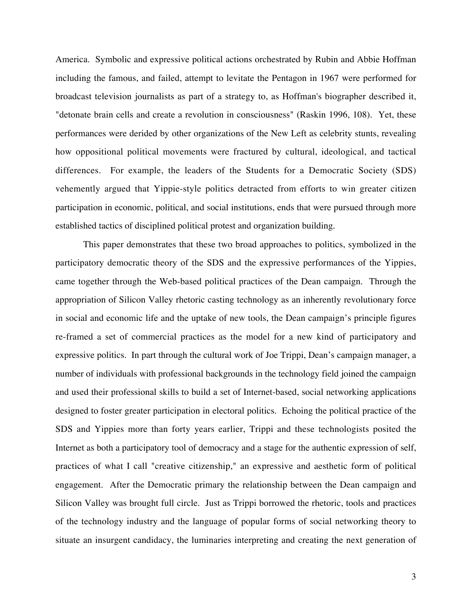America. Symbolic and expressive political actions orchestrated by Rubin and Abbie Hoffman including the famous, and failed, attempt to levitate the Pentagon in 1967 were performed for broadcast television journalists as part of a strategy to, as Hoffman's biographer described it, "detonate brain cells and create a revolution in consciousness" (Raskin 1996, 108). Yet, these performances were derided by other organizations of the New Left as celebrity stunts, revealing how oppositional political movements were fractured by cultural, ideological, and tactical differences. For example, the leaders of the Students for a Democratic Society (SDS) vehemently argued that Yippie-style politics detracted from efforts to win greater citizen participation in economic, political, and social institutions, ends that were pursued through more established tactics of disciplined political protest and organization building.

This paper demonstrates that these two broad approaches to politics, symbolized in the participatory democratic theory of the SDS and the expressive performances of the Yippies, came together through the Web-based political practices of the Dean campaign. Through the appropriation of Silicon Valley rhetoric casting technology as an inherently revolutionary force in social and economic life and the uptake of new tools, the Dean campaign's principle figures re-framed a set of commercial practices as the model for a new kind of participatory and expressive politics. In part through the cultural work of Joe Trippi, Dean's campaign manager, a number of individuals with professional backgrounds in the technology field joined the campaign and used their professional skills to build a set of Internet-based, social networking applications designed to foster greater participation in electoral politics. Echoing the political practice of the SDS and Yippies more than forty years earlier, Trippi and these technologists posited the Internet as both a participatory tool of democracy and a stage for the authentic expression of self, practices of what I call "creative citizenship," an expressive and aesthetic form of political engagement. After the Democratic primary the relationship between the Dean campaign and Silicon Valley was brought full circle. Just as Trippi borrowed the rhetoric, tools and practices of the technology industry and the language of popular forms of social networking theory to situate an insurgent candidacy, the luminaries interpreting and creating the next generation of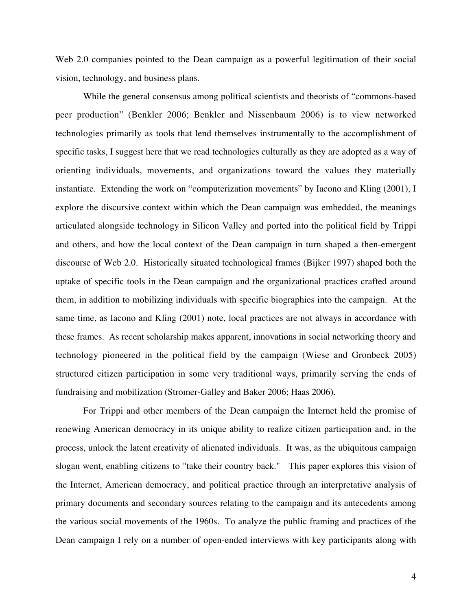Web 2.0 companies pointed to the Dean campaign as a powerful legitimation of their social vision, technology, and business plans.

While the general consensus among political scientists and theorists of "commons-based peer production" (Benkler 2006; Benkler and Nissenbaum 2006) is to view networked technologies primarily as tools that lend themselves instrumentally to the accomplishment of specific tasks, I suggest here that we read technologies culturally as they are adopted as a way of orienting individuals, movements, and organizations toward the values they materially instantiate. Extending the work on "computerization movements" by Iacono and Kling (2001), I explore the discursive context within which the Dean campaign was embedded, the meanings articulated alongside technology in Silicon Valley and ported into the political field by Trippi and others, and how the local context of the Dean campaign in turn shaped a then-emergent discourse of Web 2.0. Historically situated technological frames (Bijker 1997) shaped both the uptake of specific tools in the Dean campaign and the organizational practices crafted around them, in addition to mobilizing individuals with specific biographies into the campaign. At the same time, as Iacono and Kling (2001) note, local practices are not always in accordance with these frames. As recent scholarship makes apparent, innovations in social networking theory and technology pioneered in the political field by the campaign (Wiese and Gronbeck 2005) structured citizen participation in some very traditional ways, primarily serving the ends of fundraising and mobilization (Stromer-Galley and Baker 2006; Haas 2006).

For Trippi and other members of the Dean campaign the Internet held the promise of renewing American democracy in its unique ability to realize citizen participation and, in the process, unlock the latent creativity of alienated individuals. It was, as the ubiquitous campaign slogan went, enabling citizens to "take their country back." This paper explores this vision of the Internet, American democracy, and political practice through an interpretative analysis of primary documents and secondary sources relating to the campaign and its antecedents among the various social movements of the 1960s. To analyze the public framing and practices of the Dean campaign I rely on a number of open-ended interviews with key participants along with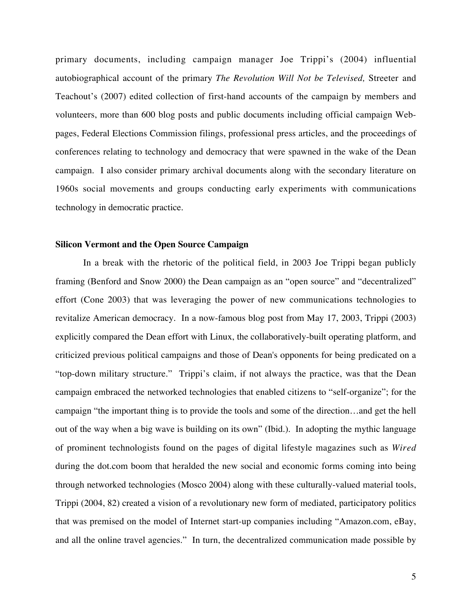primary documents, including campaign manager Joe Trippi's (2004) influential autobiographical account of the primary *The Revolution Will Not be Televised,* Streeter and Teachout's (2007) edited collection of first-hand accounts of the campaign by members and volunteers, more than 600 blog posts and public documents including official campaign Webpages, Federal Elections Commission filings, professional press articles, and the proceedings of conferences relating to technology and democracy that were spawned in the wake of the Dean campaign. I also consider primary archival documents along with the secondary literature on 1960s social movements and groups conducting early experiments with communications technology in democratic practice.

#### **Silicon Vermont and the Open Source Campaign**

In a break with the rhetoric of the political field, in 2003 Joe Trippi began publicly framing (Benford and Snow 2000) the Dean campaign as an "open source" and "decentralized" effort (Cone 2003) that was leveraging the power of new communications technologies to revitalize American democracy. In a now-famous blog post from May 17, 2003, Trippi (2003) explicitly compared the Dean effort with Linux, the collaboratively-built operating platform, and criticized previous political campaigns and those of Dean's opponents for being predicated on a "top-down military structure." Trippi's claim, if not always the practice, was that the Dean campaign embraced the networked technologies that enabled citizens to "self-organize"; for the campaign "the important thing is to provide the tools and some of the direction…and get the hell out of the way when a big wave is building on its own" (Ibid.). In adopting the mythic language of prominent technologists found on the pages of digital lifestyle magazines such as *Wired* during the dot.com boom that heralded the new social and economic forms coming into being through networked technologies (Mosco 2004) along with these culturally-valued material tools, Trippi (2004, 82) created a vision of a revolutionary new form of mediated, participatory politics that was premised on the model of Internet start-up companies including "Amazon.com, eBay, and all the online travel agencies." In turn, the decentralized communication made possible by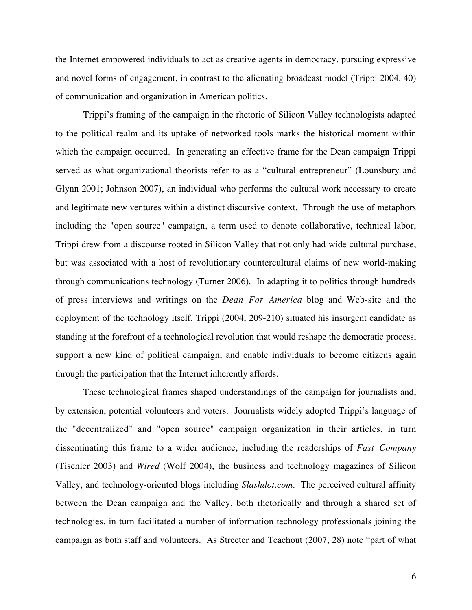the Internet empowered individuals to act as creative agents in democracy, pursuing expressive and novel forms of engagement, in contrast to the alienating broadcast model (Trippi 2004, 40) of communication and organization in American politics.

Trippi's framing of the campaign in the rhetoric of Silicon Valley technologists adapted to the political realm and its uptake of networked tools marks the historical moment within which the campaign occurred. In generating an effective frame for the Dean campaign Trippi served as what organizational theorists refer to as a "cultural entrepreneur" (Lounsbury and Glynn 2001; Johnson 2007), an individual who performs the cultural work necessary to create and legitimate new ventures within a distinct discursive context. Through the use of metaphors including the "open source" campaign, a term used to denote collaborative, technical labor, Trippi drew from a discourse rooted in Silicon Valley that not only had wide cultural purchase, but was associated with a host of revolutionary countercultural claims of new world-making through communications technology (Turner 2006). In adapting it to politics through hundreds of press interviews and writings on the *Dean For America* blog and Web-site and the deployment of the technology itself, Trippi (2004, 209-210) situated his insurgent candidate as standing at the forefront of a technological revolution that would reshape the democratic process, support a new kind of political campaign, and enable individuals to become citizens again through the participation that the Internet inherently affords.

These technological frames shaped understandings of the campaign for journalists and, by extension, potential volunteers and voters. Journalists widely adopted Trippi's language of the "decentralized" and "open source" campaign organization in their articles, in turn disseminating this frame to a wider audience, including the readerships of *Fast Company* (Tischler 2003) and *Wired* (Wolf 2004), the business and technology magazines of Silicon Valley, and technology-oriented blogs including *Slashdot.com*. The perceived cultural affinity between the Dean campaign and the Valley, both rhetorically and through a shared set of technologies, in turn facilitated a number of information technology professionals joining the campaign as both staff and volunteers. As Streeter and Teachout (2007, 28) note "part of what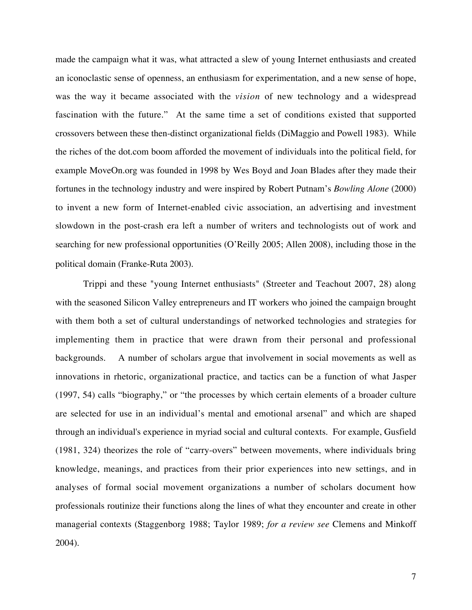made the campaign what it was, what attracted a slew of young Internet enthusiasts and created an iconoclastic sense of openness, an enthusiasm for experimentation, and a new sense of hope, was the way it became associated with the *vision* of new technology and a widespread fascination with the future." At the same time a set of conditions existed that supported crossovers between these then-distinct organizational fields (DiMaggio and Powell 1983). While the riches of the dot.com boom afforded the movement of individuals into the political field, for example MoveOn.org was founded in 1998 by Wes Boyd and Joan Blades after they made their fortunes in the technology industry and were inspired by Robert Putnam's *Bowling Alone* (2000) to invent a new form of Internet-enabled civic association, an advertising and investment slowdown in the post-crash era left a number of writers and technologists out of work and searching for new professional opportunities (O'Reilly 2005; Allen 2008), including those in the political domain (Franke-Ruta 2003).

Trippi and these "young Internet enthusiasts" (Streeter and Teachout 2007, 28) along with the seasoned Silicon Valley entrepreneurs and IT workers who joined the campaign brought with them both a set of cultural understandings of networked technologies and strategies for implementing them in practice that were drawn from their personal and professional backgrounds. A number of scholars argue that involvement in social movements as well as innovations in rhetoric, organizational practice, and tactics can be a function of what Jasper (1997, 54) calls "biography," or "the processes by which certain elements of a broader culture are selected for use in an individual's mental and emotional arsenal" and which are shaped through an individual's experience in myriad social and cultural contexts. For example, Gusfield (1981, 324) theorizes the role of "carry-overs" between movements, where individuals bring knowledge, meanings, and practices from their prior experiences into new settings, and in analyses of formal social movement organizations a number of scholars document how professionals routinize their functions along the lines of what they encounter and create in other managerial contexts (Staggenborg 1988; Taylor 1989; *for a review see* Clemens and Minkoff 2004).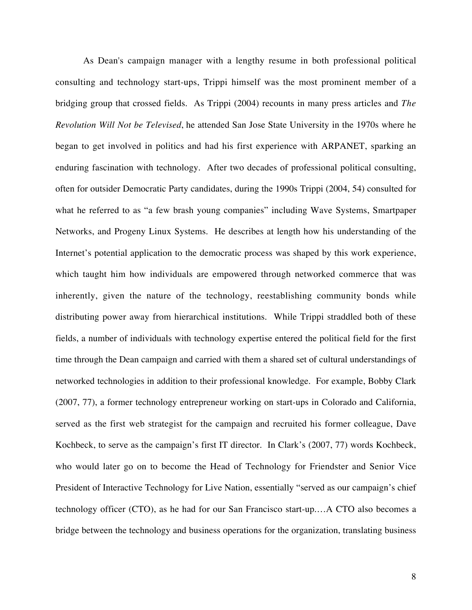As Dean's campaign manager with a lengthy resume in both professional political consulting and technology start-ups, Trippi himself was the most prominent member of a bridging group that crossed fields. As Trippi (2004) recounts in many press articles and *The Revolution Will Not be Televised*, he attended San Jose State University in the 1970s where he began to get involved in politics and had his first experience with ARPANET, sparking an enduring fascination with technology. After two decades of professional political consulting, often for outsider Democratic Party candidates, during the 1990s Trippi (2004, 54) consulted for what he referred to as "a few brash young companies" including Wave Systems, Smartpaper Networks, and Progeny Linux Systems. He describes at length how his understanding of the Internet's potential application to the democratic process was shaped by this work experience, which taught him how individuals are empowered through networked commerce that was inherently, given the nature of the technology, reestablishing community bonds while distributing power away from hierarchical institutions. While Trippi straddled both of these fields, a number of individuals with technology expertise entered the political field for the first time through the Dean campaign and carried with them a shared set of cultural understandings of networked technologies in addition to their professional knowledge. For example, Bobby Clark (2007, 77), a former technology entrepreneur working on start-ups in Colorado and California, served as the first web strategist for the campaign and recruited his former colleague, Dave Kochbeck, to serve as the campaign's first IT director. In Clark's (2007, 77) words Kochbeck, who would later go on to become the Head of Technology for Friendster and Senior Vice President of Interactive Technology for Live Nation, essentially "served as our campaign's chief technology officer (CTO), as he had for our San Francisco start-up.…A CTO also becomes a bridge between the technology and business operations for the organization, translating business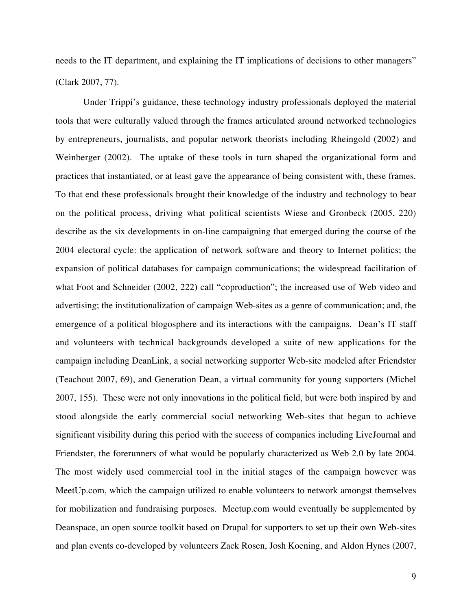needs to the IT department, and explaining the IT implications of decisions to other managers" (Clark 2007, 77).

Under Trippi's guidance, these technology industry professionals deployed the material tools that were culturally valued through the frames articulated around networked technologies by entrepreneurs, journalists, and popular network theorists including Rheingold (2002) and Weinberger (2002). The uptake of these tools in turn shaped the organizational form and practices that instantiated, or at least gave the appearance of being consistent with, these frames. To that end these professionals brought their knowledge of the industry and technology to bear on the political process, driving what political scientists Wiese and Gronbeck (2005, 220) describe as the six developments in on-line campaigning that emerged during the course of the 2004 electoral cycle: the application of network software and theory to Internet politics; the expansion of political databases for campaign communications; the widespread facilitation of what Foot and Schneider (2002, 222) call "coproduction"; the increased use of Web video and advertising; the institutionalization of campaign Web-sites as a genre of communication; and, the emergence of a political blogosphere and its interactions with the campaigns. Dean's IT staff and volunteers with technical backgrounds developed a suite of new applications for the campaign including DeanLink, a social networking supporter Web-site modeled after Friendster (Teachout 2007, 69), and Generation Dean, a virtual community for young supporters (Michel 2007, 155). These were not only innovations in the political field, but were both inspired by and stood alongside the early commercial social networking Web-sites that began to achieve significant visibility during this period with the success of companies including LiveJournal and Friendster, the forerunners of what would be popularly characterized as Web 2.0 by late 2004. The most widely used commercial tool in the initial stages of the campaign however was MeetUp.com, which the campaign utilized to enable volunteers to network amongst themselves for mobilization and fundraising purposes. Meetup.com would eventually be supplemented by Deanspace, an open source toolkit based on Drupal for supporters to set up their own Web-sites and plan events co-developed by volunteers Zack Rosen, Josh Koening, and Aldon Hynes (2007,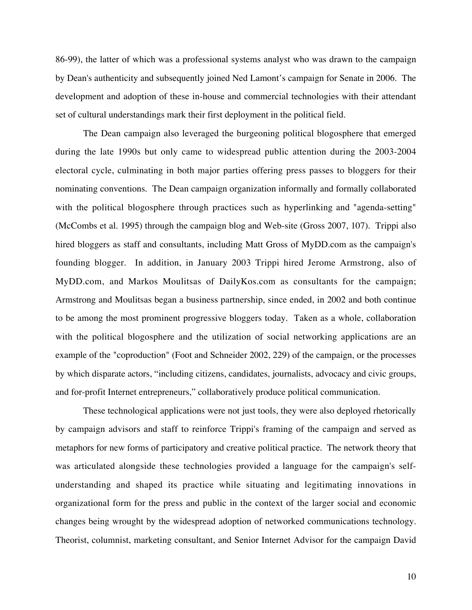86-99), the latter of which was a professional systems analyst who was drawn to the campaign by Dean's authenticity and subsequently joined Ned Lamont's campaign for Senate in 2006. The development and adoption of these in-house and commercial technologies with their attendant set of cultural understandings mark their first deployment in the political field.

The Dean campaign also leveraged the burgeoning political blogosphere that emerged during the late 1990s but only came to widespread public attention during the 2003-2004 electoral cycle, culminating in both major parties offering press passes to bloggers for their nominating conventions. The Dean campaign organization informally and formally collaborated with the political blogosphere through practices such as hyperlinking and "agenda-setting" (McCombs et al. 1995) through the campaign blog and Web-site (Gross 2007, 107). Trippi also hired bloggers as staff and consultants, including Matt Gross of MyDD.com as the campaign's founding blogger. In addition, in January 2003 Trippi hired Jerome Armstrong, also of MyDD.com, and Markos Moulitsas of DailyKos.com as consultants for the campaign; Armstrong and Moulitsas began a business partnership, since ended, in 2002 and both continue to be among the most prominent progressive bloggers today. Taken as a whole, collaboration with the political blogosphere and the utilization of social networking applications are an example of the "coproduction" (Foot and Schneider 2002, 229) of the campaign, or the processes by which disparate actors, "including citizens, candidates, journalists, advocacy and civic groups, and for-profit Internet entrepreneurs," collaboratively produce political communication.

These technological applications were not just tools, they were also deployed rhetorically by campaign advisors and staff to reinforce Trippi's framing of the campaign and served as metaphors for new forms of participatory and creative political practice. The network theory that was articulated alongside these technologies provided a language for the campaign's selfunderstanding and shaped its practice while situating and legitimating innovations in organizational form for the press and public in the context of the larger social and economic changes being wrought by the widespread adoption of networked communications technology. Theorist, columnist, marketing consultant, and Senior Internet Advisor for the campaign David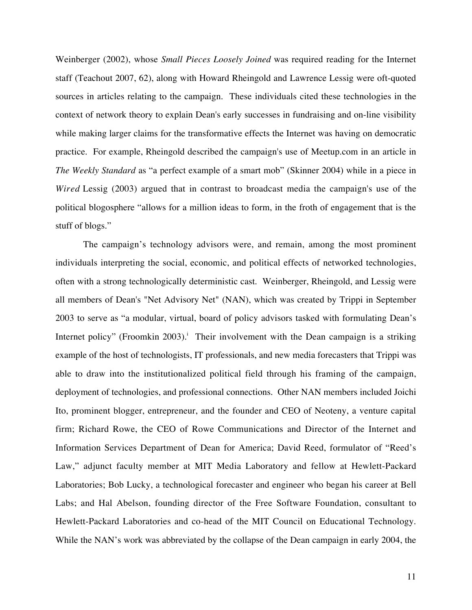Weinberger (2002), whose *Small Pieces Loosely Joined* was required reading for the Internet staff (Teachout 2007, 62), along with Howard Rheingold and Lawrence Lessig were oft-quoted sources in articles relating to the campaign. These individuals cited these technologies in the context of network theory to explain Dean's early successes in fundraising and on-line visibility while making larger claims for the transformative effects the Internet was having on democratic practice. For example, Rheingold described the campaign's use of Meetup.com in an article in *The Weekly Standard* as "a perfect example of a smart mob" (Skinner 2004) while in a piece in *Wired* Lessig (2003) argued that in contrast to broadcast media the campaign's use of the political blogosphere "allows for a million ideas to form, in the froth of engagement that is the stuff of blogs."

The campaign's technology advisors were, and remain, among the most prominent individuals interpreting the social, economic, and political effects of networked technologies, often with a strong technologically deterministic cast. Weinberger, Rheingold, and Lessig were all members of Dean's "Net Advisory Net" (NAN), which was created by Trippi in September 2003 to serve as "a modular, virtual, board of policy advisors tasked with formulating Dean's Internet policy" (Froomkin 2003).<sup>i</sup> Their involvement with the Dean campaign is a striking example of the host of technologists, IT professionals, and new media forecasters that Trippi was able to draw into the institutionalized political field through his framing of the campaign, deployment of technologies, and professional connections. Other NAN members included Joichi Ito, prominent blogger, entrepreneur, and the founder and CEO of Neoteny, a venture capital firm; Richard Rowe, the CEO of Rowe Communications and Director of the Internet and Information Services Department of Dean for America; David Reed, formulator of "Reed's Law," adjunct faculty member at MIT Media Laboratory and fellow at Hewlett-Packard Laboratories; Bob Lucky, a technological forecaster and engineer who began his career at Bell Labs; and Hal Abelson, founding director of the Free Software Foundation, consultant to Hewlett-Packard Laboratories and co-head of the MIT Council on Educational Technology. While the NAN's work was abbreviated by the collapse of the Dean campaign in early 2004, the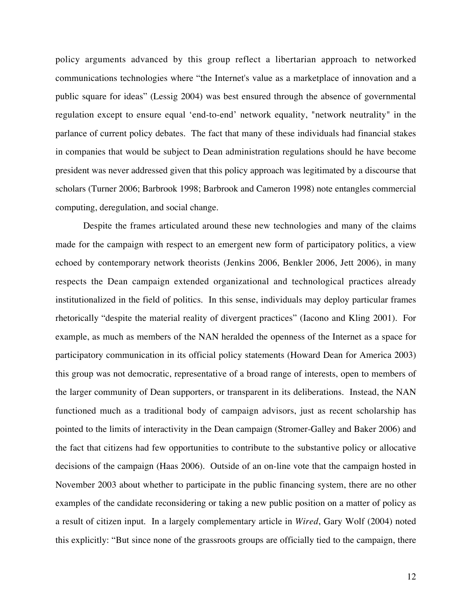policy arguments advanced by this group reflect a libertarian approach to networked communications technologies where "the Internet's value as a marketplace of innovation and a public square for ideas" (Lessig 2004) was best ensured through the absence of governmental regulation except to ensure equal 'end-to-end' network equality, "network neutrality" in the parlance of current policy debates. The fact that many of these individuals had financial stakes in companies that would be subject to Dean administration regulations should he have become president was never addressed given that this policy approach was legitimated by a discourse that scholars (Turner 2006; Barbrook 1998; Barbrook and Cameron 1998) note entangles commercial computing, deregulation, and social change.

Despite the frames articulated around these new technologies and many of the claims made for the campaign with respect to an emergent new form of participatory politics, a view echoed by contemporary network theorists (Jenkins 2006, Benkler 2006, Jett 2006), in many respects the Dean campaign extended organizational and technological practices already institutionalized in the field of politics. In this sense, individuals may deploy particular frames rhetorically "despite the material reality of divergent practices" (Iacono and Kling 2001)*.* For example, as much as members of the NAN heralded the openness of the Internet as a space for participatory communication in its official policy statements (Howard Dean for America 2003) this group was not democratic, representative of a broad range of interests, open to members of the larger community of Dean supporters, or transparent in its deliberations. Instead, the NAN functioned much as a traditional body of campaign advisors, just as recent scholarship has pointed to the limits of interactivity in the Dean campaign (Stromer-Galley and Baker 2006) and the fact that citizens had few opportunities to contribute to the substantive policy or allocative decisions of the campaign (Haas 2006). Outside of an on-line vote that the campaign hosted in November 2003 about whether to participate in the public financing system, there are no other examples of the candidate reconsidering or taking a new public position on a matter of policy as a result of citizen input. In a largely complementary article in *Wired*, Gary Wolf (2004) noted this explicitly: "But since none of the grassroots groups are officially tied to the campaign, there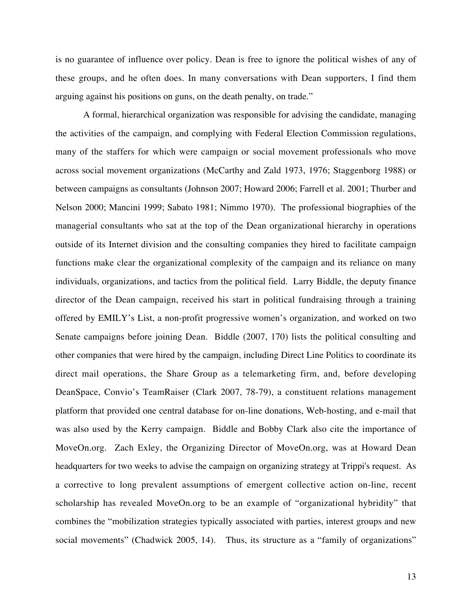is no guarantee of influence over policy. Dean is free to ignore the political wishes of any of these groups, and he often does. In many conversations with Dean supporters, I find them arguing against his positions on guns, on the death penalty, on trade."

A formal, hierarchical organization was responsible for advising the candidate, managing the activities of the campaign, and complying with Federal Election Commission regulations, many of the staffers for which were campaign or social movement professionals who move across social movement organizations (McCarthy and Zald 1973, 1976; Staggenborg 1988) or between campaigns as consultants (Johnson 2007; Howard 2006; Farrell et al. 2001; Thurber and Nelson 2000; Mancini 1999; Sabato 1981; Nimmo 1970). The professional biographies of the managerial consultants who sat at the top of the Dean organizational hierarchy in operations outside of its Internet division and the consulting companies they hired to facilitate campaign functions make clear the organizational complexity of the campaign and its reliance on many individuals, organizations, and tactics from the political field. Larry Biddle, the deputy finance director of the Dean campaign, received his start in political fundraising through a training offered by EMILY's List, a non-profit progressive women's organization, and worked on two Senate campaigns before joining Dean. Biddle (2007, 170) lists the political consulting and other companies that were hired by the campaign, including Direct Line Politics to coordinate its direct mail operations, the Share Group as a telemarketing firm, and, before developing DeanSpace, Convio's TeamRaiser (Clark 2007, 78-79), a constituent relations management platform that provided one central database for on-line donations, Web-hosting, and e-mail that was also used by the Kerry campaign. Biddle and Bobby Clark also cite the importance of MoveOn.org. Zach Exley, the Organizing Director of MoveOn.org, was at Howard Dean headquarters for two weeks to advise the campaign on organizing strategy at Trippi's request. As a corrective to long prevalent assumptions of emergent collective action on-line, recent scholarship has revealed MoveOn.org to be an example of "organizational hybridity" that combines the "mobilization strategies typically associated with parties, interest groups and new social movements" (Chadwick 2005, 14). Thus, its structure as a "family of organizations"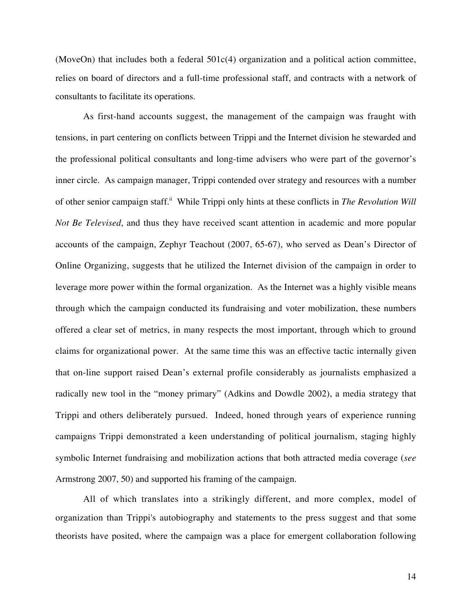(MoveOn) that includes both a federal 501c(4) organization and a political action committee, relies on board of directors and a full-time professional staff, and contracts with a network of consultants to facilitate its operations.

As first-hand accounts suggest, the management of the campaign was fraught with tensions, in part centering on conflicts between Trippi and the Internet division he stewarded and the professional political consultants and long-time advisers who were part of the governor's inner circle. As campaign manager, Trippi contended over strategy and resources with a number of other senior campaign staff.<sup>ii</sup> While Trippi only hints at these conflicts in *The Revolution Will Not Be Televised*, and thus they have received scant attention in academic and more popular accounts of the campaign, Zephyr Teachout (2007, 65-67), who served as Dean's Director of Online Organizing, suggests that he utilized the Internet division of the campaign in order to leverage more power within the formal organization. As the Internet was a highly visible means through which the campaign conducted its fundraising and voter mobilization, these numbers offered a clear set of metrics, in many respects the most important, through which to ground claims for organizational power. At the same time this was an effective tactic internally given that on-line support raised Dean's external profile considerably as journalists emphasized a radically new tool in the "money primary" (Adkins and Dowdle 2002), a media strategy that Trippi and others deliberately pursued. Indeed, honed through years of experience running campaigns Trippi demonstrated a keen understanding of political journalism, staging highly symbolic Internet fundraising and mobilization actions that both attracted media coverage (*see* Armstrong 2007, 50) and supported his framing of the campaign.

All of which translates into a strikingly different, and more complex, model of organization than Trippi's autobiography and statements to the press suggest and that some theorists have posited, where the campaign was a place for emergent collaboration following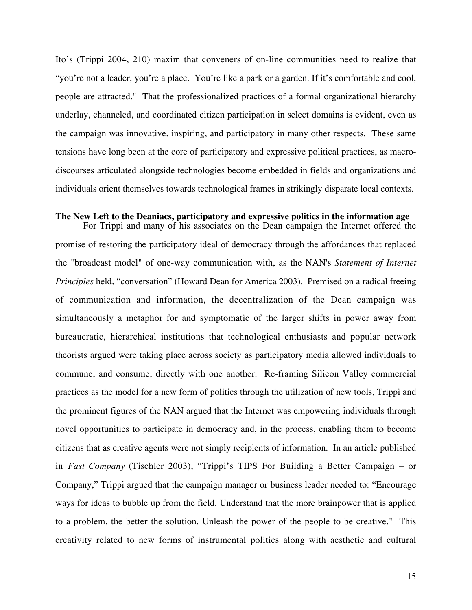Ito's (Trippi 2004, 210) maxim that conveners of on-line communities need to realize that "you're not a leader, you're a place. You're like a park or a garden. If it's comfortable and cool, people are attracted." That the professionalized practices of a formal organizational hierarchy underlay, channeled, and coordinated citizen participation in select domains is evident, even as the campaign was innovative, inspiring, and participatory in many other respects. These same tensions have long been at the core of participatory and expressive political practices, as macrodiscourses articulated alongside technologies become embedded in fields and organizations and individuals orient themselves towards technological frames in strikingly disparate local contexts.

# **The New Left to the Deaniacs, participatory and expressive politics in the information age**

For Trippi and many of his associates on the Dean campaign the Internet offered the promise of restoring the participatory ideal of democracy through the affordances that replaced the "broadcast model" of one-way communication with, as the NAN's *Statement of Internet Principles* held, "conversation" (Howard Dean for America 2003). Premised on a radical freeing of communication and information, the decentralization of the Dean campaign was simultaneously a metaphor for and symptomatic of the larger shifts in power away from bureaucratic, hierarchical institutions that technological enthusiasts and popular network theorists argued were taking place across society as participatory media allowed individuals to commune, and consume, directly with one another. Re-framing Silicon Valley commercial practices as the model for a new form of politics through the utilization of new tools, Trippi and the prominent figures of the NAN argued that the Internet was empowering individuals through novel opportunities to participate in democracy and, in the process, enabling them to become citizens that as creative agents were not simply recipients of information. In an article published in *Fast Company* (Tischler 2003), "Trippi's TIPS For Building a Better Campaign – or Company," Trippi argued that the campaign manager or business leader needed to: "Encourage ways for ideas to bubble up from the field. Understand that the more brainpower that is applied to a problem, the better the solution. Unleash the power of the people to be creative." This creativity related to new forms of instrumental politics along with aesthetic and cultural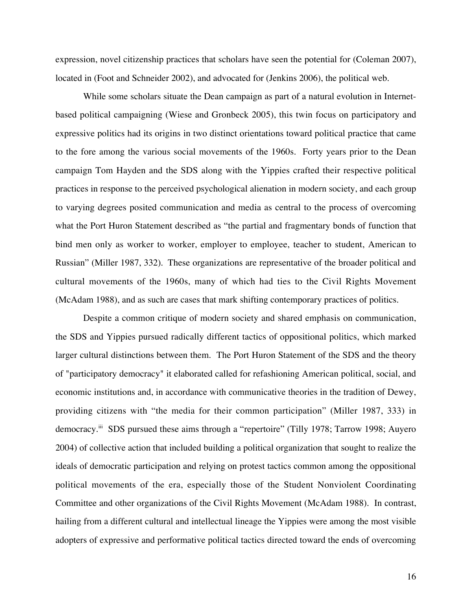expression, novel citizenship practices that scholars have seen the potential for (Coleman 2007), located in (Foot and Schneider 2002), and advocated for (Jenkins 2006), the political web.

While some scholars situate the Dean campaign as part of a natural evolution in Internetbased political campaigning (Wiese and Gronbeck 2005), this twin focus on participatory and expressive politics had its origins in two distinct orientations toward political practice that came to the fore among the various social movements of the 1960s. Forty years prior to the Dean campaign Tom Hayden and the SDS along with the Yippies crafted their respective political practices in response to the perceived psychological alienation in modern society, and each group to varying degrees posited communication and media as central to the process of overcoming what the Port Huron Statement described as "the partial and fragmentary bonds of function that bind men only as worker to worker, employer to employee, teacher to student, American to Russian" (Miller 1987, 332).These organizations are representative of the broader political and cultural movements of the 1960s, many of which had ties to the Civil Rights Movement (McAdam 1988), and as such are cases that mark shifting contemporary practices of politics.

Despite a common critique of modern society and shared emphasis on communication, the SDS and Yippies pursued radically different tactics of oppositional politics, which marked larger cultural distinctions between them. The Port Huron Statement of the SDS and the theory of "participatory democracy" it elaborated called for refashioning American political, social, and economic institutions and, in accordance with communicative theories in the tradition of Dewey, providing citizens with "the media for their common participation" (Miller 1987, 333) in democracy.<sup>iii</sup> SDS pursued these aims through a "repertoire" (Tilly 1978; Tarrow 1998; Auyero 2004) of collective action that included building a political organization that sought to realize the ideals of democratic participation and relying on protest tactics common among the oppositional political movements of the era, especially those of the Student Nonviolent Coordinating Committee and other organizations of the Civil Rights Movement (McAdam 1988). In contrast, hailing from a different cultural and intellectual lineage the Yippies were among the most visible adopters of expressive and performative political tactics directed toward the ends of overcoming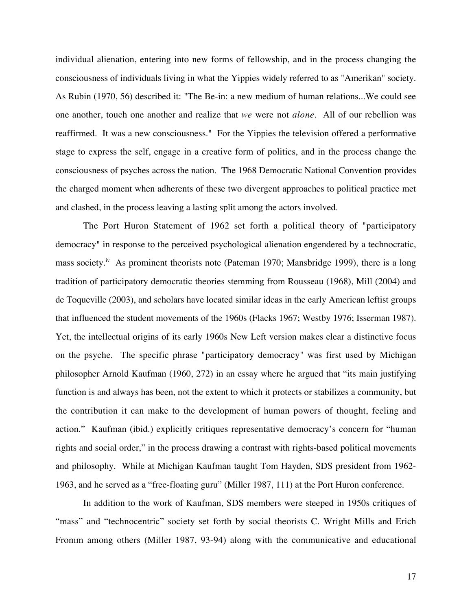individual alienation, entering into new forms of fellowship, and in the process changing the consciousness of individuals living in what the Yippies widely referred to as "Amerikan" society. As Rubin (1970, 56) described it: "The Be-in: a new medium of human relations...We could see one another, touch one another and realize that *we* were not *alone*. All of our rebellion was reaffirmed. It was a new consciousness." For the Yippies the television offered a performative stage to express the self, engage in a creative form of politics, and in the process change the consciousness of psyches across the nation. The 1968 Democratic National Convention provides the charged moment when adherents of these two divergent approaches to political practice met and clashed, in the process leaving a lasting split among the actors involved.

The Port Huron Statement of 1962 set forth a political theory of "participatory democracy" in response to the perceived psychological alienation engendered by a technocratic, mass society.<sup>iv</sup> As prominent theorists note (Pateman 1970; Mansbridge 1999), there is a long tradition of participatory democratic theories stemming from Rousseau (1968), Mill (2004) and de Toqueville (2003), and scholars have located similar ideas in the early American leftist groups that influenced the student movements of the 1960s (Flacks 1967; Westby 1976; Isserman 1987). Yet, the intellectual origins of its early 1960s New Left version makes clear a distinctive focus on the psyche. The specific phrase "participatory democracy" was first used by Michigan philosopher Arnold Kaufman (1960, 272) in an essay where he argued that "its main justifying function is and always has been, not the extent to which it protects or stabilizes a community, but the contribution it can make to the development of human powers of thought, feeling and action." Kaufman (ibid.) explicitly critiques representative democracy's concern for "human rights and social order," in the process drawing a contrast with rights-based political movements and philosophy. While at Michigan Kaufman taught Tom Hayden, SDS president from 1962- 1963, and he served as a "free-floating guru" (Miller 1987, 111) at the Port Huron conference.

In addition to the work of Kaufman, SDS members were steeped in 1950s critiques of "mass" and "technocentric" society set forth by social theorists C. Wright Mills and Erich Fromm among others (Miller 1987, 93-94) along with the communicative and educational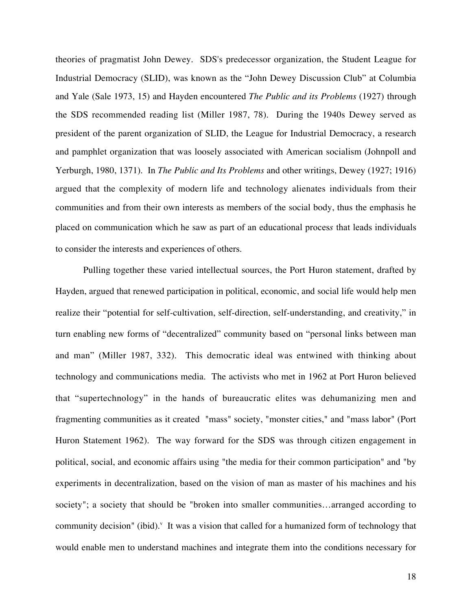theories of pragmatist John Dewey. SDS's predecessor organization, the Student League for Industrial Democracy (SLID), was known as the "John Dewey Discussion Club" at Columbia and Yale (Sale 1973, 15) and Hayden encountered *The Public and its Problems* (1927) through the SDS recommended reading list (Miller 1987, 78). During the 1940s Dewey served as president of the parent organization of SLID, the League for Industrial Democracy, a research and pamphlet organization that was loosely associated with American socialism (Johnpoll and Yerburgh, 1980, 1371). In *The Public and Its Problems* and other writings, Dewey (1927; 1916) argued that the complexity of modern life and technology alienates individuals from their communities and from their own interests as members of the social body, thus the emphasis he placed on communication which he saw as part of an educational proces*s* that leads individuals to consider the interests and experiences of others.

Pulling together these varied intellectual sources, the Port Huron statement, drafted by Hayden, argued that renewed participation in political, economic, and social life would help men realize their "potential for self-cultivation, self-direction, self-understanding, and creativity," in turn enabling new forms of "decentralized" community based on "personal links between man and man" (Miller 1987, 332). This democratic ideal was entwined with thinking about technology and communications media. The activists who met in 1962 at Port Huron believed that "supertechnology" in the hands of bureaucratic elites was dehumanizing men and fragmenting communities as it created "mass" society, "monster cities," and "mass labor" (Port Huron Statement 1962). The way forward for the SDS was through citizen engagement in political, social, and economic affairs using "the media for their common participation" and "by experiments in decentralization, based on the vision of man as master of his machines and his society"; a society that should be "broken into smaller communities…arranged according to community decision" (ibid).<sup>v</sup> It was a vision that called for a humanized form of technology that would enable men to understand machines and integrate them into the conditions necessary for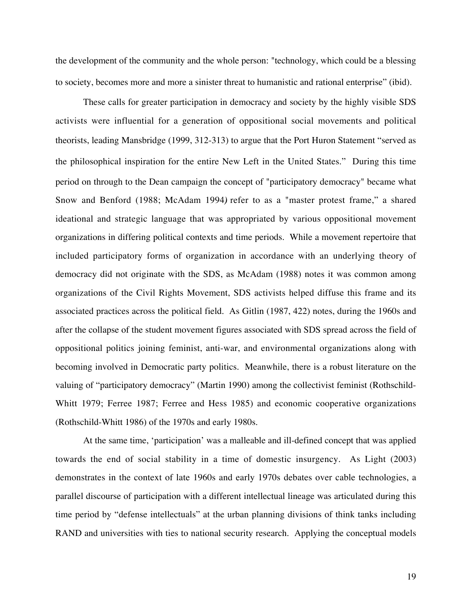the development of the community and the whole person: "technology, which could be a blessing to society, becomes more and more a sinister threat to humanistic and rational enterprise" (ibid).

These calls for greater participation in democracy and society by the highly visible SDS activists were influential for a generation of oppositional social movements and political theorists, leading Mansbridge (1999, 312-313) to argue that the Port Huron Statement "served as the philosophical inspiration for the entire New Left in the United States." During this time period on through to the Dean campaign the concept of "participatory democracy" became what Snow and Benford (1988; McAdam 1994*)* refer to as a "master protest frame," a shared ideational and strategic language that was appropriated by various oppositional movement organizations in differing political contexts and time periods. While a movement repertoire that included participatory forms of organization in accordance with an underlying theory of democracy did not originate with the SDS, as McAdam (1988) notes it was common among organizations of the Civil Rights Movement, SDS activists helped diffuse this frame and its associated practices across the political field. As Gitlin (1987, 422) notes, during the 1960s and after the collapse of the student movement figures associated with SDS spread across the field of oppositional politics joining feminist, anti-war, and environmental organizations along with becoming involved in Democratic party politics. Meanwhile, there is a robust literature on the valuing of "participatory democracy" (Martin 1990) among the collectivist feminist (Rothschild-Whitt 1979; Ferree 1987; Ferree and Hess 1985) and economic cooperative organizations (Rothschild-Whitt 1986) of the 1970s and early 1980s.

At the same time, 'participation' was a malleable and ill-defined concept that was applied towards the end of social stability in a time of domestic insurgency. As Light (2003) demonstrates in the context of late 1960s and early 1970s debates over cable technologies, a parallel discourse of participation with a different intellectual lineage was articulated during this time period by "defense intellectuals" at the urban planning divisions of think tanks including RAND and universities with ties to national security research. Applying the conceptual models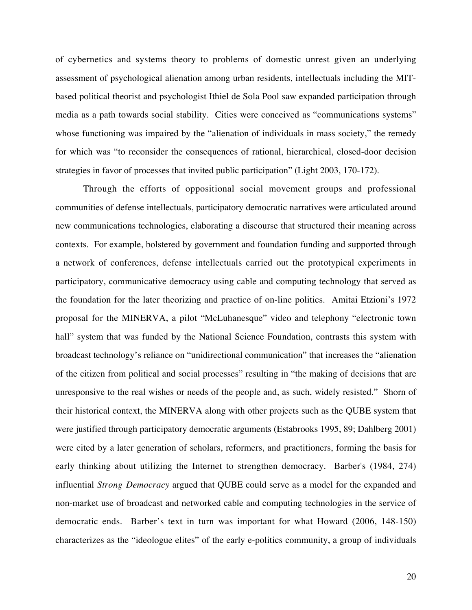of cybernetics and systems theory to problems of domestic unrest given an underlying assessment of psychological alienation among urban residents, intellectuals including the MITbased political theorist and psychologist Ithiel de Sola Pool saw expanded participation through media as a path towards social stability. Cities were conceived as "communications systems" whose functioning was impaired by the "alienation of individuals in mass society," the remedy for which was "to reconsider the consequences of rational, hierarchical, closed-door decision strategies in favor of processes that invited public participation" (Light 2003, 170-172).

Through the efforts of oppositional social movement groups and professional communities of defense intellectuals, participatory democratic narratives were articulated around new communications technologies, elaborating a discourse that structured their meaning across contexts. For example, bolstered by government and foundation funding and supported through a network of conferences, defense intellectuals carried out the prototypical experiments in participatory, communicative democracy using cable and computing technology that served as the foundation for the later theorizing and practice of on-line politics. Amitai Etzioni's 1972 proposal for the MINERVA, a pilot "McLuhanesque" video and telephony "electronic town hall" system that was funded by the National Science Foundation, contrasts this system with broadcast technology's reliance on "unidirectional communication" that increases the "alienation of the citizen from political and social processes" resulting in "the making of decisions that are unresponsive to the real wishes or needs of the people and, as such, widely resisted." Shorn of their historical context, the MINERVA along with other projects such as the QUBE system that were justified through participatory democratic arguments (Estabrooks 1995, 89; Dahlberg 2001) were cited by a later generation of scholars, reformers, and practitioners, forming the basis for early thinking about utilizing the Internet to strengthen democracy. Barber's (1984, 274) influential *Strong Democracy* argued that QUBE could serve as a model for the expanded and non-market use of broadcast and networked cable and computing technologies in the service of democratic ends. Barber's text in turn was important for what Howard (2006, 148-150) characterizes as the "ideologue elites" of the early e-politics community, a group of individuals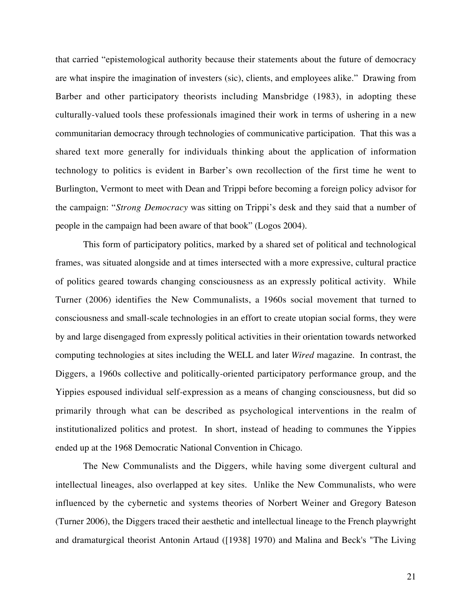that carried "epistemological authority because their statements about the future of democracy are what inspire the imagination of investers (sic), clients, and employees alike."Drawing from Barber and other participatory theorists including Mansbridge (1983), in adopting these culturally-valued tools these professionals imagined their work in terms of ushering in a new communitarian democracy through technologies of communicative participation. That this was a shared text more generally for individuals thinking about the application of information technology to politics is evident in Barber's own recollection of the first time he went to Burlington, Vermont to meet with Dean and Trippi before becoming a foreign policy advisor for the campaign: "*Strong Democracy* was sitting on Trippi's desk and they said that a number of people in the campaign had been aware of that book" (Logos 2004).

This form of participatory politics, marked by a shared set of political and technological frames, was situated alongside and at times intersected with a more expressive, cultural practice of politics geared towards changing consciousness as an expressly political activity. While Turner (2006) identifies the New Communalists, a 1960s social movement that turned to consciousness and small-scale technologies in an effort to create utopian social forms, they were by and large disengaged from expressly political activities in their orientation towards networked computing technologies at sites including the WELL and later *Wired* magazine. In contrast, the Diggers, a 1960s collective and politically-oriented participatory performance group, and the Yippies espoused individual self-expression as a means of changing consciousness, but did so primarily through what can be described as psychological interventions in the realm of institutionalized politics and protest. In short, instead of heading to communes the Yippies ended up at the 1968 Democratic National Convention in Chicago.

The New Communalists and the Diggers, while having some divergent cultural and intellectual lineages, also overlapped at key sites. Unlike the New Communalists, who were influenced by the cybernetic and systems theories of Norbert Weiner and Gregory Bateson (Turner 2006), the Diggers traced their aesthetic and intellectual lineage to the French playwright and dramaturgical theorist Antonin Artaud ([1938] 1970) and Malina and Beck's "The Living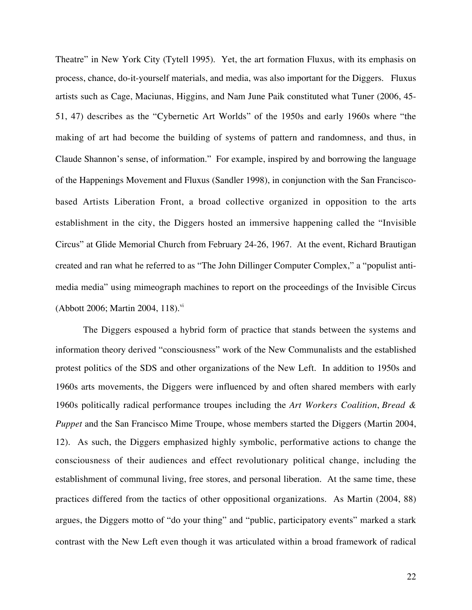Theatre" in New York City (Tytell 1995). Yet, the art formation Fluxus, with its emphasis on process, chance, do-it-yourself materials, and media, was also important for the Diggers. Fluxus artists such as Cage, Maciunas, Higgins, and Nam June Paik constituted what Tuner (2006, 45- 51, 47) describes as the "Cybernetic Art Worlds" of the 1950s and early 1960s where "the making of art had become the building of systems of pattern and randomness, and thus, in Claude Shannon's sense, of information." For example, inspired by and borrowing the language of the Happenings Movement and Fluxus (Sandler 1998), in conjunction with the San Franciscobased Artists Liberation Front, a broad collective organized in opposition to the arts establishment in the city, the Diggers hosted an immersive happening called the "Invisible Circus" at Glide Memorial Church from February 24-26, 1967. At the event, Richard Brautigan created and ran what he referred to as "The John Dillinger Computer Complex," a "populist antimedia media" using mimeograph machines to report on the proceedings of the Invisible Circus (Abbott 2006; Martin 2004, 118).<sup>vi</sup>

The Diggers espoused a hybrid form of practice that stands between the systems and information theory derived "consciousness" work of the New Communalists and the established protest politics of the SDS and other organizations of the New Left. In addition to 1950s and 1960s arts movements, the Diggers were influenced by and often shared members with early 1960s politically radical performance troupes including the *Art Workers Coalition*, *Bread & Puppet* and the San Francisco Mime Troupe, whose members started the Diggers (Martin 2004, 12). As such, the Diggers emphasized highly symbolic, performative actions to change the consciousness of their audiences and effect revolutionary political change, including the establishment of communal living, free stores, and personal liberation. At the same time, these practices differed from the tactics of other oppositional organizations. As Martin (2004, 88) argues, the Diggers motto of "do your thing" and "public, participatory events" marked a stark contrast with the New Left even though it was articulated within a broad framework of radical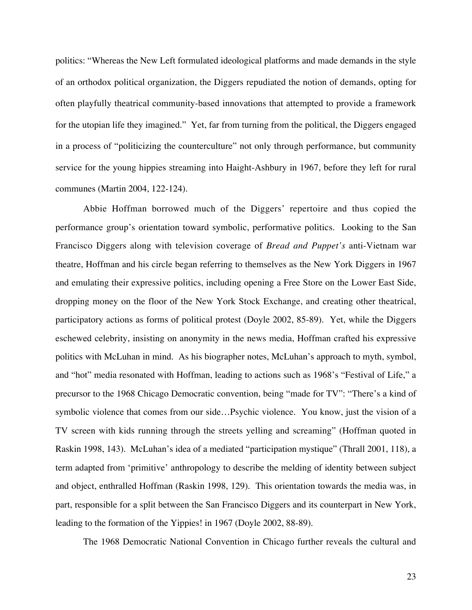politics: "Whereas the New Left formulated ideological platforms and made demands in the style of an orthodox political organization, the Diggers repudiated the notion of demands, opting for often playfully theatrical community-based innovations that attempted to provide a framework for the utopian life they imagined." Yet, far from turning from the political, the Diggers engaged in a process of "politicizing the counterculture" not only through performance, but community service for the young hippies streaming into Haight-Ashbury in 1967, before they left for rural communes (Martin 2004, 122-124).

Abbie Hoffman borrowed much of the Diggers' repertoire and thus copied the performance group's orientation toward symbolic, performative politics. Looking to the San Francisco Diggers along with television coverage of *Bread and Puppet's* anti-Vietnam war theatre, Hoffman and his circle began referring to themselves as the New York Diggers in 1967 and emulating their expressive politics, including opening a Free Store on the Lower East Side, dropping money on the floor of the New York Stock Exchange, and creating other theatrical, participatory actions as forms of political protest (Doyle 2002, 85-89). Yet, while the Diggers eschewed celebrity, insisting on anonymity in the news media, Hoffman crafted his expressive politics with McLuhan in mind. As his biographer notes, McLuhan's approach to myth, symbol, and "hot" media resonated with Hoffman, leading to actions such as 1968's "Festival of Life," a precursor to the 1968 Chicago Democratic convention, being "made for TV": "There's a kind of symbolic violence that comes from our side…Psychic violence. You know, just the vision of a TV screen with kids running through the streets yelling and screaming" (Hoffman quoted in Raskin 1998, 143). McLuhan's idea of a mediated "participation mystique" (Thrall 2001, 118), a term adapted from 'primitive' anthropology to describe the melding of identity between subject and object, enthralled Hoffman (Raskin 1998, 129). This orientation towards the media was, in part, responsible for a split between the San Francisco Diggers and its counterpart in New York, leading to the formation of the Yippies! in 1967 (Doyle 2002, 88-89).

The 1968 Democratic National Convention in Chicago further reveals the cultural and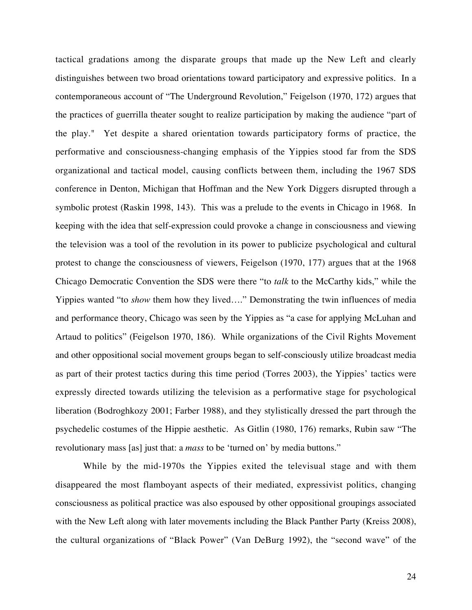tactical gradations among the disparate groups that made up the New Left and clearly distinguishes between two broad orientations toward participatory and expressive politics. In a contemporaneous account of "The Underground Revolution," Feigelson (1970, 172) argues that the practices of guerrilla theater sought to realize participation by making the audience "part of the play." Yet despite a shared orientation towards participatory forms of practice, the performative and consciousness-changing emphasis of the Yippies stood far from the SDS organizational and tactical model, causing conflicts between them, including the 1967 SDS conference in Denton, Michigan that Hoffman and the New York Diggers disrupted through a symbolic protest (Raskin 1998, 143). This was a prelude to the events in Chicago in 1968. In keeping with the idea that self-expression could provoke a change in consciousness and viewing the television was a tool of the revolution in its power to publicize psychological and cultural protest to change the consciousness of viewers, Feigelson (1970, 177) argues that at the 1968 Chicago Democratic Convention the SDS were there "to *talk* to the McCarthy kids," while the Yippies wanted "to *show* them how they lived…." Demonstrating the twin influences of media and performance theory, Chicago was seen by the Yippies as "a case for applying McLuhan and Artaud to politics" (Feigelson 1970, 186). While organizations of the Civil Rights Movement and other oppositional social movement groups began to self-consciously utilize broadcast media as part of their protest tactics during this time period (Torres 2003), the Yippies' tactics were expressly directed towards utilizing the television as a performative stage for psychological liberation (Bodroghkozy 2001; Farber 1988), and they stylistically dressed the part through the psychedelic costumes of the Hippie aesthetic. As Gitlin (1980, 176) remarks, Rubin saw "The revolutionary mass [as] just that: a *mass* to be 'turned on' by media buttons."

While by the mid-1970s the Yippies exited the televisual stage and with them disappeared the most flamboyant aspects of their mediated, expressivist politics, changing consciousness as political practice was also espoused by other oppositional groupings associated with the New Left along with later movements including the Black Panther Party (Kreiss 2008), the cultural organizations of "Black Power" (Van DeBurg 1992), the "second wave" of the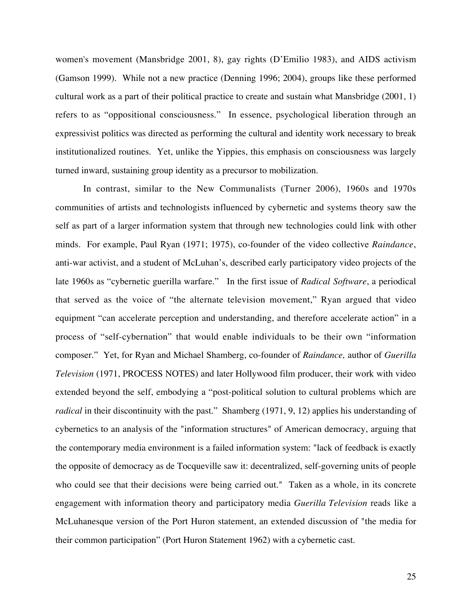women's movement (Mansbridge 2001, 8), gay rights (D'Emilio 1983), and AIDS activism (Gamson 1999). While not a new practice (Denning 1996; 2004), groups like these performed cultural work as a part of their political practice to create and sustain what Mansbridge (2001, 1) refers to as "oppositional consciousness." In essence, psychological liberation through an expressivist politics was directed as performing the cultural and identity work necessary to break institutionalized routines. Yet, unlike the Yippies, this emphasis on consciousness was largely turned inward, sustaining group identity as a precursor to mobilization.

In contrast, similar to the New Communalists (Turner 2006), 1960s and 1970s communities of artists and technologists influenced by cybernetic and systems theory saw the self as part of a larger information system that through new technologies could link with other minds. For example, Paul Ryan (1971; 1975), co-founder of the video collective *Raindance*, anti-war activist, and a student of McLuhan's, described early participatory video projects of the late 1960s as "cybernetic guerilla warfare." In the first issue of *Radical Software*, a periodical that served as the voice of "the alternate television movement," Ryan argued that video equipment "can accelerate perception and understanding, and therefore accelerate action" in a process of "self-cybernation" that would enable individuals to be their own "information composer." Yet, for Ryan and Michael Shamberg, co-founder of *Raindance,* author of *Guerilla Television* (1971, PROCESS NOTES) and later Hollywood film producer, their work with video extended beyond the self, embodying a "post-political solution to cultural problems which are *radical* in their discontinuity with the past." Shamberg (1971, 9, 12) applies his understanding of cybernetics to an analysis of the "information structures" of American democracy, arguing that the contemporary media environment is a failed information system: "lack of feedback is exactly the opposite of democracy as de Tocqueville saw it: decentralized, self-governing units of people who could see that their decisions were being carried out." Taken as a whole, in its concrete engagement with information theory and participatory media *Guerilla Television* reads like a McLuhanesque version of the Port Huron statement, an extended discussion of "the media for their common participation" (Port Huron Statement 1962) with a cybernetic cast.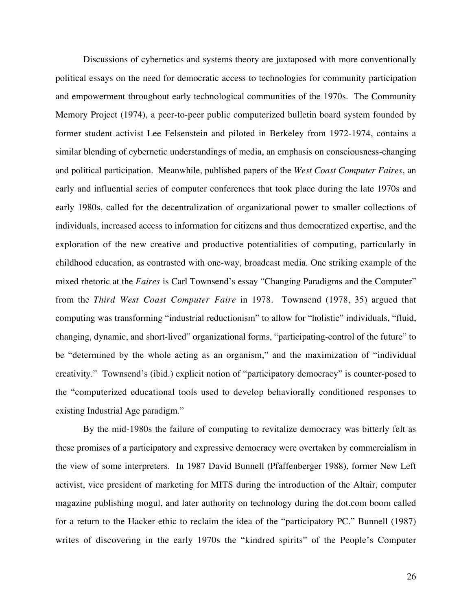Discussions of cybernetics and systems theory are juxtaposed with more conventionally political essays on the need for democratic access to technologies for community participation and empowerment throughout early technological communities of the 1970s. The Community Memory Project (1974), a peer-to-peer public computerized bulletin board system founded by former student activist Lee Felsenstein and piloted in Berkeley from 1972-1974, contains a similar blending of cybernetic understandings of media, an emphasis on consciousness-changing and political participation. Meanwhile, published papers of the *West Coast Computer Faires*, an early and influential series of computer conferences that took place during the late 1970s and early 1980s, called for the decentralization of organizational power to smaller collections of individuals, increased access to information for citizens and thus democratized expertise, and the exploration of the new creative and productive potentialities of computing, particularly in childhood education, as contrasted with one-way, broadcast media. One striking example of the mixed rhetoric at the *Faires* is Carl Townsend's essay "Changing Paradigms and the Computer" from the *Third West Coast Computer Faire* in 1978. Townsend (1978, 35) argued that computing was transforming "industrial reductionism" to allow for "holistic" individuals, "fluid, changing, dynamic, and short-lived" organizational forms, "participating-control of the future" to be "determined by the whole acting as an organism," and the maximization of "individual creativity." Townsend's (ibid.) explicit notion of "participatory democracy" is counter-posed to the "computerized educational tools used to develop behaviorally conditioned responses to existing Industrial Age paradigm."

By the mid-1980s the failure of computing to revitalize democracy was bitterly felt as these promises of a participatory and expressive democracy were overtaken by commercialism in the view of some interpreters. In 1987 David Bunnell (Pfaffenberger 1988), former New Left activist, vice president of marketing for MITS during the introduction of the Altair, computer magazine publishing mogul, and later authority on technology during the dot.com boom called for a return to the Hacker ethic to reclaim the idea of the "participatory PC." Bunnell (1987) writes of discovering in the early 1970s the "kindred spirits" of the People's Computer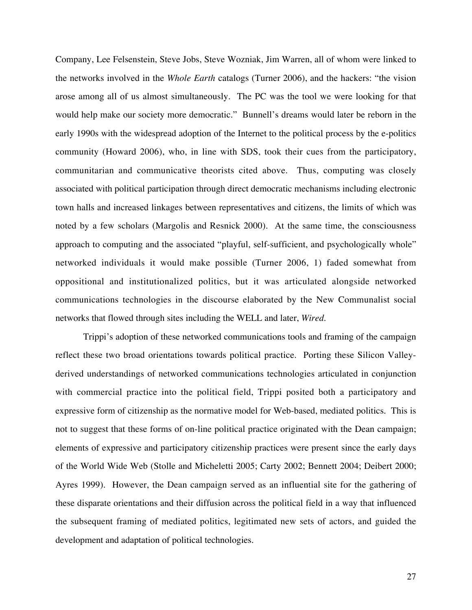Company, Lee Felsenstein, Steve Jobs, Steve Wozniak, Jim Warren, all of whom were linked to the networks involved in the *Whole Earth* catalogs (Turner 2006), and the hackers: "the vision arose among all of us almost simultaneously. The PC was the tool we were looking for that would help make our society more democratic." Bunnell's dreams would later be reborn in the early 1990s with the widespread adoption of the Internet to the political process by the e-politics community (Howard 2006), who, in line with SDS, took their cues from the participatory, communitarian and communicative theorists cited above. Thus, computing was closely associated with political participation through direct democratic mechanisms including electronic town halls and increased linkages between representatives and citizens, the limits of which was noted by a few scholars (Margolis and Resnick 2000). At the same time, the consciousness approach to computing and the associated "playful, self-sufficient, and psychologically whole" networked individuals it would make possible (Turner 2006, 1) faded somewhat from oppositional and institutionalized politics, but it was articulated alongside networked communications technologies in the discourse elaborated by the New Communalist social networks that flowed through sites including the WELL and later, *Wired*.

Trippi's adoption of these networked communications tools and framing of the campaign reflect these two broad orientations towards political practice. Porting these Silicon Valleyderived understandings of networked communications technologies articulated in conjunction with commercial practice into the political field, Trippi posited both a participatory and expressive form of citizenship as the normative model for Web-based, mediated politics. This is not to suggest that these forms of on-line political practice originated with the Dean campaign; elements of expressive and participatory citizenship practices were present since the early days of the World Wide Web (Stolle and Micheletti 2005; Carty 2002; Bennett 2004; Deibert 2000; Ayres 1999). However, the Dean campaign served as an influential site for the gathering of these disparate orientations and their diffusion across the political field in a way that influenced the subsequent framing of mediated politics, legitimated new sets of actors, and guided the development and adaptation of political technologies.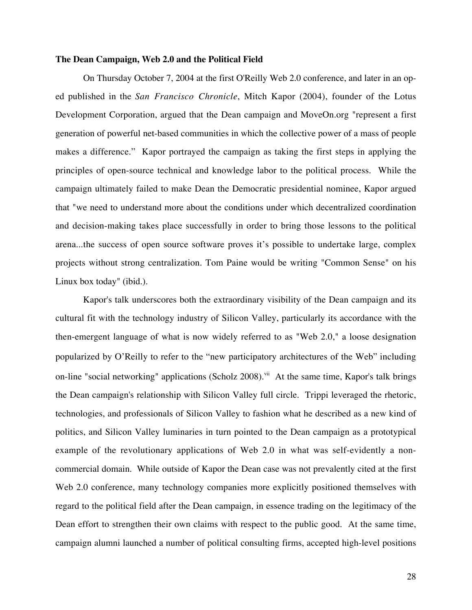### **The Dean Campaign, Web 2.0 and the Political Field**

On Thursday October 7, 2004 at the first O'Reilly Web 2.0 conference, and later in an oped published in the *San Francisco Chronicle*, Mitch Kapor (2004), founder of the Lotus Development Corporation, argued that the Dean campaign and MoveOn.org "represent a first generation of powerful net-based communities in which the collective power of a mass of people makes a difference." Kapor portrayed the campaign as taking the first steps in applying the principles of open-source technical and knowledge labor to the political process. While the campaign ultimately failed to make Dean the Democratic presidential nominee, Kapor argued that "we need to understand more about the conditions under which decentralized coordination and decision-making takes place successfully in order to bring those lessons to the political arena...the success of open source software proves it's possible to undertake large, complex projects without strong centralization. Tom Paine would be writing "Common Sense" on his Linux box today" (ibid.).

Kapor's talk underscores both the extraordinary visibility of the Dean campaign and its cultural fit with the technology industry of Silicon Valley, particularly its accordance with the then-emergent language of what is now widely referred to as "Web 2.0," a loose designation popularized by O'Reilly to refer to the "new participatory architectures of the Web" including on-line "social networking" applications (Scholz 2008).<sup>vii</sup> At the same time, Kapor's talk brings the Dean campaign's relationship with Silicon Valley full circle. Trippi leveraged the rhetoric, technologies, and professionals of Silicon Valley to fashion what he described as a new kind of politics, and Silicon Valley luminaries in turn pointed to the Dean campaign as a prototypical example of the revolutionary applications of Web 2.0 in what was self-evidently a noncommercial domain. While outside of Kapor the Dean case was not prevalently cited at the first Web 2.0 conference, many technology companies more explicitly positioned themselves with regard to the political field after the Dean campaign, in essence trading on the legitimacy of the Dean effort to strengthen their own claims with respect to the public good. At the same time, campaign alumni launched a number of political consulting firms, accepted high-level positions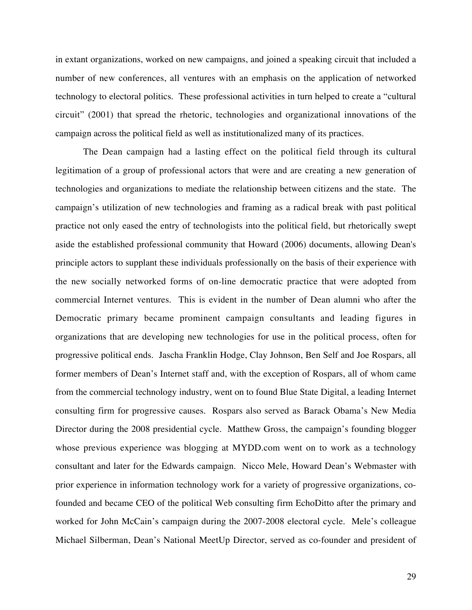in extant organizations, worked on new campaigns, and joined a speaking circuit that included a number of new conferences, all ventures with an emphasis on the application of networked technology to electoral politics. These professional activities in turn helped to create a "cultural circuit" (2001) that spread the rhetoric, technologies and organizational innovations of the campaign across the political field as well as institutionalized many of its practices.

The Dean campaign had a lasting effect on the political field through its cultural legitimation of a group of professional actors that were and are creating a new generation of technologies and organizations to mediate the relationship between citizens and the state. The campaign's utilization of new technologies and framing as a radical break with past political practice not only eased the entry of technologists into the political field, but rhetorically swept aside the established professional community that Howard (2006) documents, allowing Dean's principle actors to supplant these individuals professionally on the basis of their experience with the new socially networked forms of on-line democratic practice that were adopted from commercial Internet ventures. This is evident in the number of Dean alumni who after the Democratic primary became prominent campaign consultants and leading figures in organizations that are developing new technologies for use in the political process, often for progressive political ends. Jascha Franklin Hodge, Clay Johnson, Ben Self and Joe Rospars, all former members of Dean's Internet staff and, with the exception of Rospars, all of whom came from the commercial technology industry, went on to found Blue State Digital, a leading Internet consulting firm for progressive causes. Rospars also served as Barack Obama's New Media Director during the 2008 presidential cycle. Matthew Gross, the campaign's founding blogger whose previous experience was blogging at MYDD.com went on to work as a technology consultant and later for the Edwards campaign. Nicco Mele, Howard Dean's Webmaster with prior experience in information technology work for a variety of progressive organizations, cofounded and became CEO of the political Web consulting firm EchoDitto after the primary and worked for John McCain's campaign during the 2007-2008 electoral cycle. Mele's colleague Michael Silberman, Dean's National MeetUp Director, served as co-founder and president of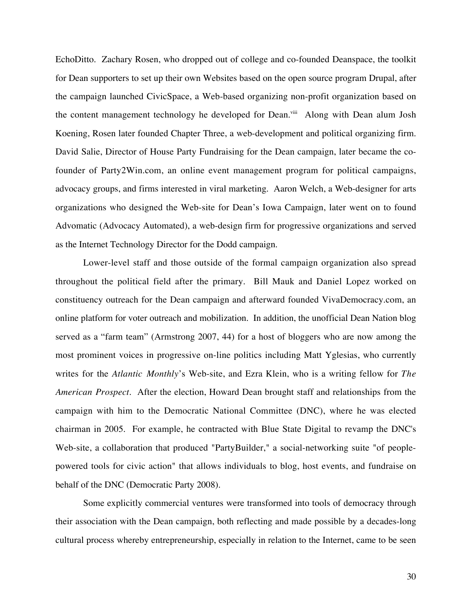EchoDitto. Zachary Rosen, who dropped out of college and co-founded Deanspace, the toolkit for Dean supporters to set up their own Websites based on the open source program Drupal, after the campaign launched CivicSpace, a Web-based organizing non-profit organization based on the content management technology he developed for Dean.<sup>viii</sup> Along with Dean alum Josh Koening, Rosen later founded Chapter Three, a web-development and political organizing firm. David Salie, Director of House Party Fundraising for the Dean campaign, later became the cofounder of Party2Win.com, an online event management program for political campaigns, advocacy groups, and firms interested in viral marketing. Aaron Welch, a Web-designer for arts organizations who designed the Web-site for Dean's Iowa Campaign, later went on to found Advomatic (Advocacy Automated), a web-design firm for progressive organizations and served as the Internet Technology Director for the Dodd campaign.

Lower-level staff and those outside of the formal campaign organization also spread throughout the political field after the primary. Bill Mauk and Daniel Lopez worked on constituency outreach for the Dean campaign and afterward founded VivaDemocracy.com, an online platform for voter outreach and mobilization. In addition, the unofficial Dean Nation blog served as a "farm team" (Armstrong 2007, 44) for a host of bloggers who are now among the most prominent voices in progressive on-line politics including Matt Yglesias, who currently writes for the *Atlantic Monthly*'s Web-site, and Ezra Klein, who is a writing fellow for *The American Prospect*. After the election, Howard Dean brought staff and relationships from the campaign with him to the Democratic National Committee (DNC), where he was elected chairman in 2005. For example, he contracted with Blue State Digital to revamp the DNC's Web-site, a collaboration that produced "PartyBuilder," a social-networking suite "of peoplepowered tools for civic action" that allows individuals to blog, host events, and fundraise on behalf of the DNC (Democratic Party 2008).

Some explicitly commercial ventures were transformed into tools of democracy through their association with the Dean campaign, both reflecting and made possible by a decades-long cultural process whereby entrepreneurship, especially in relation to the Internet, came to be seen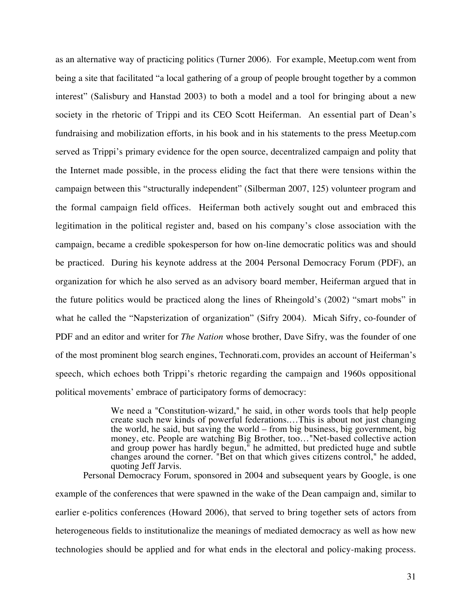as an alternative way of practicing politics (Turner 2006). For example, Meetup.com went from being a site that facilitated "a local gathering of a group of people brought together by a common interest" (Salisbury and Hanstad 2003) to both a model and a tool for bringing about a new society in the rhetoric of Trippi and its CEO Scott Heiferman. An essential part of Dean's fundraising and mobilization efforts, in his book and in his statements to the press Meetup.com served as Trippi's primary evidence for the open source, decentralized campaign and polity that the Internet made possible, in the process eliding the fact that there were tensions within the campaign between this "structurally independent" (Silberman 2007, 125) volunteer program and the formal campaign field offices. Heiferman both actively sought out and embraced this legitimation in the political register and, based on his company's close association with the campaign, became a credible spokesperson for how on-line democratic politics was and should be practiced. During his keynote address at the 2004 Personal Democracy Forum (PDF), an organization for which he also served as an advisory board member, Heiferman argued that in the future politics would be practiced along the lines of Rheingold's (2002) "smart mobs" in what he called the "Napsterization of organization" (Sifry 2004). Micah Sifry, co-founder of PDF and an editor and writer for *The Nation* whose brother, Dave Sifry, was the founder of one of the most prominent blog search engines, Technorati.com, provides an account of Heiferman's speech, which echoes both Trippi's rhetoric regarding the campaign and 1960s oppositional political movements' embrace of participatory forms of democracy:

> We need a "Constitution-wizard," he said, in other words tools that help people create such new kinds of powerful federations.…This is about not just changing the world, he said, but saving the world – from big business, big government, big money, etc. People are watching Big Brother, too…"Net-based collective action and group power has hardly begun," he admitted, but predicted huge and subtle changes around the corner. "Bet on that which gives citizens control," he added, quoting Jeff Jarvis.

Personal Democracy Forum, sponsored in 2004 and subsequent years by Google, is one example of the conferences that were spawned in the wake of the Dean campaign and, similar to earlier e-politics conferences (Howard 2006), that served to bring together sets of actors from heterogeneous fields to institutionalize the meanings of mediated democracy as well as how new technologies should be applied and for what ends in the electoral and policy-making process.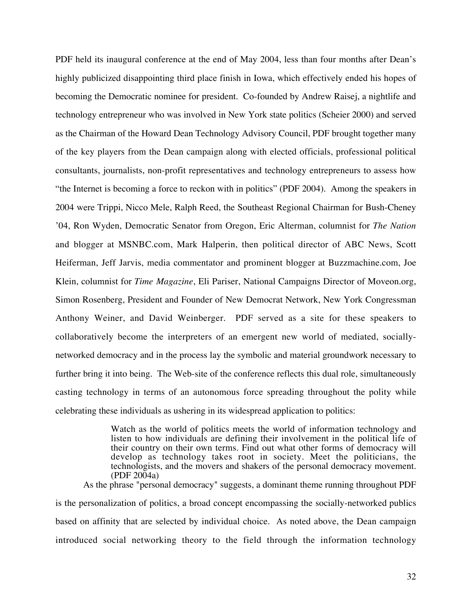PDF held its inaugural conference at the end of May 2004, less than four months after Dean's highly publicized disappointing third place finish in Iowa, which effectively ended his hopes of becoming the Democratic nominee for president. Co-founded by Andrew Raisej, a nightlife and technology entrepreneur who was involved in New York state politics (Scheier 2000) and served as the Chairman of the Howard Dean Technology Advisory Council, PDF brought together many of the key players from the Dean campaign along with elected officials, professional political consultants, journalists, non-profit representatives and technology entrepreneurs to assess how "the Internet is becoming a force to reckon with in politics" (PDF 2004). Among the speakers in 2004 were Trippi, Nicco Mele, Ralph Reed, the Southeast Regional Chairman for Bush-Cheney '04, Ron Wyden, Democratic Senator from Oregon, Eric Alterman, columnist for *The Nation* and blogger at MSNBC.com, Mark Halperin, then political director of ABC News, Scott Heiferman, Jeff Jarvis, media commentator and prominent blogger at Buzzmachine.com, Joe Klein, columnist for *Time Magazine*, Eli Pariser, National Campaigns Director of Moveon.org, Simon Rosenberg, President and Founder of New Democrat Network, New York Congressman Anthony Weiner, and David Weinberger. PDF served as a site for these speakers to collaboratively become the interpreters of an emergent new world of mediated, sociallynetworked democracy and in the process lay the symbolic and material groundwork necessary to further bring it into being. The Web-site of the conference reflects this dual role, simultaneously casting technology in terms of an autonomous force spreading throughout the polity while celebrating these individuals as ushering in its widespread application to politics:

> Watch as the world of politics meets the world of information technology and listen to how individuals are defining their involvement in the political life of their country on their own terms. Find out what other forms of democracy will develop as technology takes root in society. Meet the politicians, the technologists, and the movers and shakers of the personal democracy movement.  $(PDF 2004a)$

As the phrase "personal democracy" suggests, a dominant theme running throughout PDF is the personalization of politics, a broad concept encompassing the socially-networked publics based on affinity that are selected by individual choice. As noted above, the Dean campaign introduced social networking theory to the field through the information technology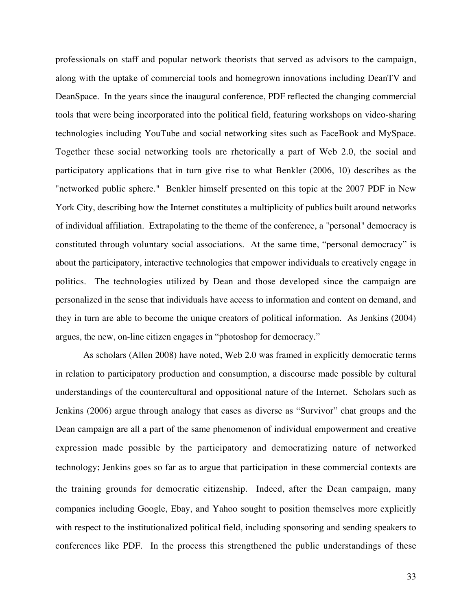professionals on staff and popular network theorists that served as advisors to the campaign, along with the uptake of commercial tools and homegrown innovations including DeanTV and DeanSpace. In the years since the inaugural conference, PDF reflected the changing commercial tools that were being incorporated into the political field, featuring workshops on video-sharing technologies including YouTube and social networking sites such as FaceBook and MySpace. Together these social networking tools are rhetorically a part of Web 2.0, the social and participatory applications that in turn give rise to what Benkler (2006, 10) describes as the "networked public sphere." Benkler himself presented on this topic at the 2007 PDF in New York City, describing how the Internet constitutes a multiplicity of publics built around networks of individual affiliation. Extrapolating to the theme of the conference, a "personal" democracy is constituted through voluntary social associations. At the same time, "personal democracy" is about the participatory, interactive technologies that empower individuals to creatively engage in politics. The technologies utilized by Dean and those developed since the campaign are personalized in the sense that individuals have access to information and content on demand, and they in turn are able to become the unique creators of political information. As Jenkins (2004) argues, the new, on-line citizen engages in "photoshop for democracy."

As scholars (Allen 2008) have noted, Web 2.0 was framed in explicitly democratic terms in relation to participatory production and consumption, a discourse made possible by cultural understandings of the countercultural and oppositional nature of the Internet. Scholars such as Jenkins (2006) argue through analogy that cases as diverse as "Survivor" chat groups and the Dean campaign are all a part of the same phenomenon of individual empowerment and creative expression made possible by the participatory and democratizing nature of networked technology; Jenkins goes so far as to argue that participation in these commercial contexts are the training grounds for democratic citizenship. Indeed, after the Dean campaign, many companies including Google, Ebay, and Yahoo sought to position themselves more explicitly with respect to the institutionalized political field, including sponsoring and sending speakers to conferences like PDF. In the process this strengthened the public understandings of these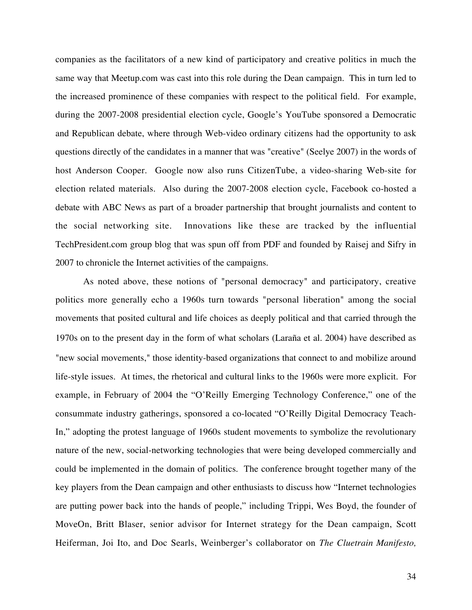companies as the facilitators of a new kind of participatory and creative politics in much the same way that Meetup.com was cast into this role during the Dean campaign. This in turn led to the increased prominence of these companies with respect to the political field. For example, during the 2007-2008 presidential election cycle, Google's YouTube sponsored a Democratic and Republican debate, where through Web-video ordinary citizens had the opportunity to ask questions directly of the candidates in a manner that was "creative" (Seelye 2007) in the words of host Anderson Cooper. Google now also runs CitizenTube, a video-sharing Web-site for election related materials. Also during the 2007-2008 election cycle, Facebook co-hosted a debate with ABC News as part of a broader partnership that brought journalists and content to the social networking site. Innovations like these are tracked by the influential TechPresident.com group blog that was spun off from PDF and founded by Raisej and Sifry in 2007 to chronicle the Internet activities of the campaigns.

As noted above, these notions of "personal democracy" and participatory, creative politics more generally echo a 1960s turn towards "personal liberation" among the social movements that posited cultural and life choices as deeply political and that carried through the 1970s on to the present day in the form of what scholars (Laraña et al. 2004) have described as "new social movements," those identity-based organizations that connect to and mobilize around life-style issues. At times, the rhetorical and cultural links to the 1960s were more explicit. For example, in February of 2004 the "O'Reilly Emerging Technology Conference," one of the consummate industry gatherings, sponsored a co-located "O'Reilly Digital Democracy Teach-In," adopting the protest language of 1960s student movements to symbolize the revolutionary nature of the new, social-networking technologies that were being developed commercially and could be implemented in the domain of politics. The conference brought together many of the key players from the Dean campaign and other enthusiasts to discuss how "Internet technologies are putting power back into the hands of people," including Trippi, Wes Boyd, the founder of MoveOn, Britt Blaser, senior advisor for Internet strategy for the Dean campaign, Scott Heiferman, Joi Ito, and Doc Searls, Weinberger's collaborator on *The Cluetrain Manifesto,*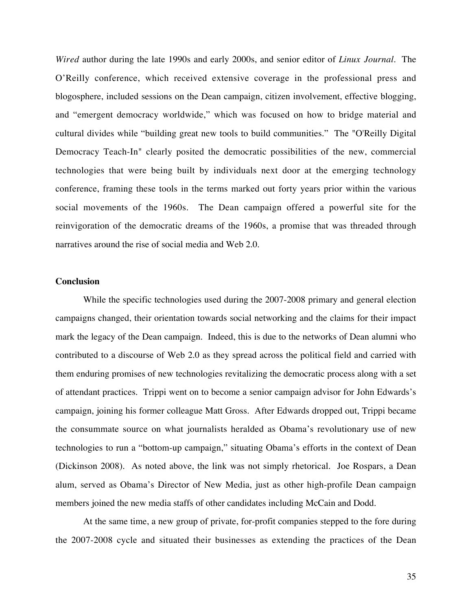*Wired* author during the late 1990s and early 2000s, and senior editor of *Linux Journal*. The O'Reilly conference, which received extensive coverage in the professional press and blogosphere, included sessions on the Dean campaign, citizen involvement, effective blogging, and "emergent democracy worldwide," which was focused on how to bridge material and cultural divides while "building great new tools to build communities." The "O'Reilly Digital Democracy Teach-In" clearly posited the democratic possibilities of the new, commercial technologies that were being built by individuals next door at the emerging technology conference, framing these tools in the terms marked out forty years prior within the various social movements of the 1960s. The Dean campaign offered a powerful site for the reinvigoration of the democratic dreams of the 1960s, a promise that was threaded through narratives around the rise of social media and Web 2.0.

# **Conclusion**

While the specific technologies used during the 2007-2008 primary and general election campaigns changed, their orientation towards social networking and the claims for their impact mark the legacy of the Dean campaign. Indeed, this is due to the networks of Dean alumni who contributed to a discourse of Web 2.0 as they spread across the political field and carried with them enduring promises of new technologies revitalizing the democratic process along with a set of attendant practices. Trippi went on to become a senior campaign advisor for John Edwards's campaign, joining his former colleague Matt Gross. After Edwards dropped out, Trippi became the consummate source on what journalists heralded as Obama's revolutionary use of new technologies to run a "bottom-up campaign," situating Obama's efforts in the context of Dean (Dickinson 2008). As noted above, the link was not simply rhetorical. Joe Rospars, a Dean alum, served as Obama's Director of New Media, just as other high-profile Dean campaign members joined the new media staffs of other candidates including McCain and Dodd.

At the same time, a new group of private, for-profit companies stepped to the fore during the 2007-2008 cycle and situated their businesses as extending the practices of the Dean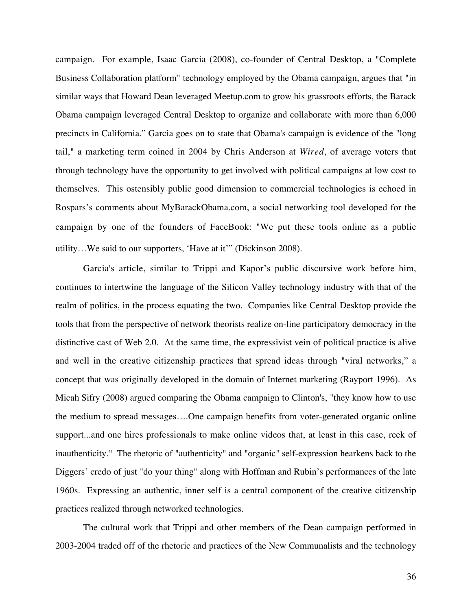campaign. For example, Isaac Garcia (2008), co-founder of Central Desktop, a "Complete Business Collaboration platform" technology employed by the Obama campaign, argues that "in similar ways that Howard Dean leveraged Meetup.com to grow his grassroots efforts, the Barack Obama campaign leveraged Central Desktop to organize and collaborate with more than 6,000 precincts in California." Garcia goes on to state that Obama's campaign is evidence of the "long tail," a marketing term coined in 2004 by Chris Anderson at *Wired*, of average voters that through technology have the opportunity to get involved with political campaigns at low cost to themselves. This ostensibly public good dimension to commercial technologies is echoed in Rospars's comments about MyBarackObama.com, a social networking tool developed for the campaign by one of the founders of FaceBook: "We put these tools online as a public utility…We said to our supporters, 'Have at it'" (Dickinson 2008).

Garcia's article, similar to Trippi and Kapor's public discursive work before him, continues to intertwine the language of the Silicon Valley technology industry with that of the realm of politics, in the process equating the two. Companies like Central Desktop provide the tools that from the perspective of network theorists realize on-line participatory democracy in the distinctive cast of Web 2.0. At the same time, the expressivist vein of political practice is alive and well in the creative citizenship practices that spread ideas through "viral networks," a concept that was originally developed in the domain of Internet marketing (Rayport 1996). As Micah Sifry (2008) argued comparing the Obama campaign to Clinton's, "they know how to use the medium to spread messages….One campaign benefits from voter-generated organic online support...and one hires professionals to make online videos that, at least in this case, reek of inauthenticity." The rhetoric of "authenticity" and "organic" self-expression hearkens back to the Diggers' credo of just "do your thing" along with Hoffman and Rubin's performances of the late 1960s. Expressing an authentic, inner self is a central component of the creative citizenship practices realized through networked technologies.

The cultural work that Trippi and other members of the Dean campaign performed in 2003-2004 traded off of the rhetoric and practices of the New Communalists and the technology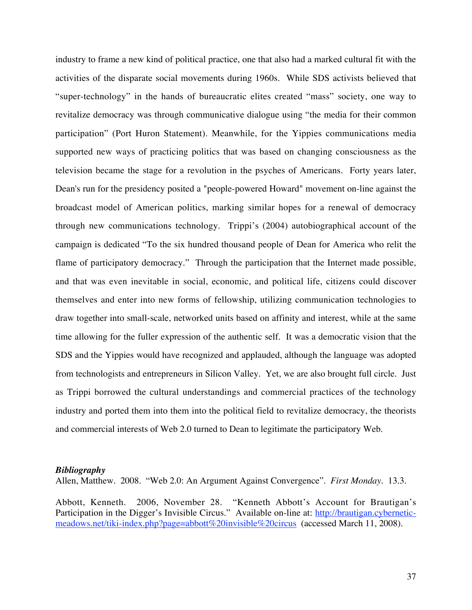industry to frame a new kind of political practice, one that also had a marked cultural fit with the activities of the disparate social movements during 1960s. While SDS activists believed that "super-technology" in the hands of bureaucratic elites created "mass" society, one way to revitalize democracy was through communicative dialogue using "the media for their common participation" (Port Huron Statement). Meanwhile, for the Yippies communications media supported new ways of practicing politics that was based on changing consciousness as the television became the stage for a revolution in the psyches of Americans. Forty years later, Dean's run for the presidency posited a "people-powered Howard" movement on-line against the broadcast model of American politics, marking similar hopes for a renewal of democracy through new communications technology. Trippi's (2004) autobiographical account of the campaign is dedicated "To the six hundred thousand people of Dean for America who relit the flame of participatory democracy." Through the participation that the Internet made possible, and that was even inevitable in social, economic, and political life, citizens could discover themselves and enter into new forms of fellowship, utilizing communication technologies to draw together into small-scale, networked units based on affinity and interest, while at the same time allowing for the fuller expression of the authentic self. It was a democratic vision that the SDS and the Yippies would have recognized and applauded, although the language was adopted from technologists and entrepreneurs in Silicon Valley. Yet, we are also brought full circle. Just as Trippi borrowed the cultural understandings and commercial practices of the technology industry and ported them into them into the political field to revitalize democracy, the theorists and commercial interests of Web 2.0 turned to Dean to legitimate the participatory Web.

### *Bibliography*

Allen, Matthew. 2008. "Web 2.0: An Argument Against Convergence". *First Monday*. 13.3.

Abbott, Kenneth. 2006, November 28. "Kenneth Abbott's Account for Brautigan's Participation in the Digger's Invisible Circus." Available on-line at: http://brautigan.cyberneticmeadows.net/tiki-index.php?page=abbott%20invisible%20circus (accessed March 11, 2008).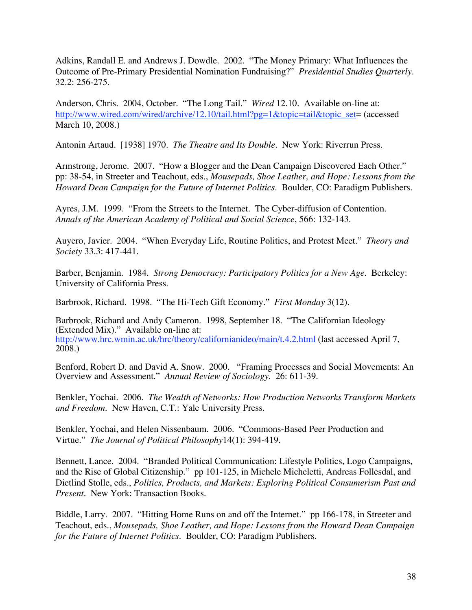Adkins, Randall E. and Andrews J. Dowdle. 2002. "The Money Primary: What Influences the Outcome of Pre-Primary Presidential Nomination Fundraising?" *Presidential Studies Quarterly.* 32.2: 256-275.

Anderson, Chris. 2004, October. "The Long Tail." *Wired* 12.10. Available on-line at: http://www.wired.com/wired/archive/12.10/tail.html?pg=1&topic=tail&topic\_set= (accessed March 10, 2008.)

Antonin Artaud. [1938] 1970. *The Theatre and Its Double.* New York: Riverrun Press.

Armstrong, Jerome. 2007. "How a Blogger and the Dean Campaign Discovered Each Other." pp: 38-54, in Streeter and Teachout, eds., *Mousepads, Shoe Leather, and Hope: Lessons from the Howard Dean Campaign for the Future of Internet Politics*. Boulder, CO: Paradigm Publishers.

Ayres, J.M. 1999. "From the Streets to the Internet. The Cyber-diffusion of Contention. *Annals of the American Academy of Political and Social Science*, 566: 132-143.

Auyero, Javier. 2004. "When Everyday Life, Routine Politics, and Protest Meet." *Theory and Society* 33.3: 417-441.

Barber, Benjamin. 1984. *Strong Democracy: Participatory Politics for a New Age*. Berkeley: University of California Press.

Barbrook, Richard. 1998. "The Hi-Tech Gift Economy." *First Monday* 3(12).

Barbrook, Richard and Andy Cameron. 1998, September 18. "The Californian Ideology (Extended Mix)." Available on-line at: http://www.hrc.wmin.ac.uk/hrc/theory/californianideo/main/t.4.2.html (last accessed April 7, 2008.)

Benford, Robert D. and David A. Snow. 2000. "Framing Processes and Social Movements: An Overview and Assessment." *Annual Review of Sociology*. 26: 611-39.

Benkler, Yochai. 2006. *The Wealth of Networks: How Production Networks Transform Markets and Freedom*. New Haven, C.T.: Yale University Press.

Benkler, Yochai, and Helen Nissenbaum. 2006. "Commons-Based Peer Production and Virtue." *The Journal of Political Philosophy*14(1): 394-419.

Bennett, Lance. 2004. "Branded Political Communication: Lifestyle Politics, Logo Campaigns, and the Rise of Global Citizenship." pp 101-125, in Michele Micheletti, Andreas Follesdal, and Dietlind Stolle, eds., *Politics, Products, and Markets: Exploring Political Consumerism Past and Present.* New York: Transaction Books.

Biddle, Larry. 2007. "Hitting Home Runs on and off the Internet." pp 166-178, in Streeter and Teachout, eds., *Mousepads, Shoe Leather, and Hope: Lessons from the Howard Dean Campaign for the Future of Internet Politics*. Boulder, CO: Paradigm Publishers.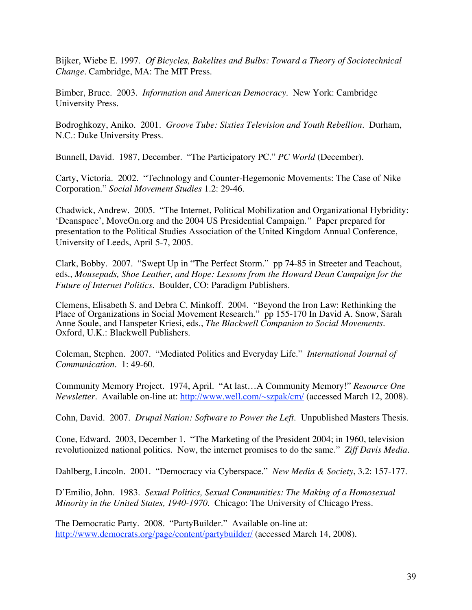Bijker, Wiebe E. 1997. *Of Bicycles, Bakelites and Bulbs: Toward a Theory of Sociotechnical Change.* Cambridge, MA: The MIT Press.

Bimber, Bruce. 2003. *Information and American Democracy*. New York: Cambridge University Press.

Bodroghkozy, Aniko. 2001. *Groove Tube: Sixties Television and Youth Rebellion*. Durham, N.C.: Duke University Press.

Bunnell, David. 1987, December. "The Participatory PC." *PC World* (December).

Carty, Victoria. 2002. "Technology and Counter-Hegemonic Movements: The Case of Nike Corporation." *Social Movement Studies* 1.2: 29-46.

Chadwick, Andrew. 2005. "The Internet, Political Mobilization and Organizational Hybridity: 'Deanspace', MoveOn.org and the 2004 US Presidential Campaign*."* Paper prepared for presentation to the Political Studies Association of the United Kingdom Annual Conference, University of Leeds, April 5-7, 2005.

Clark, Bobby. 2007. "Swept Up in "The Perfect Storm." pp 74-85 in Streeter and Teachout, eds., *Mousepads, Shoe Leather, and Hope: Lessons from the Howard Dean Campaign for the Future of Internet Politics*. Boulder, CO: Paradigm Publishers.

Clemens, Elisabeth S. and Debra C. Minkoff. 2004. "Beyond the Iron Law: Rethinking the Place of Organizations in Social Movement Research." pp 155-170 In David A. Snow, Sarah Anne Soule, and Hanspeter Kriesi, eds., *The Blackwell Companion to Social Movements*. Oxford, U.K.: Blackwell Publishers.

Coleman, Stephen. 2007. "Mediated Politics and Everyday Life." *International Journal of Communication*. 1: 49-60.

Community Memory Project. 1974, April. "At last…A Community Memory!" *Resource One Newsletter*. Available on-line at: http://www.well.com/~szpak/cm/ (accessed March 12, 2008).

Cohn, David. 2007. *Drupal Nation: Software to Power the Left.* Unpublished Masters Thesis.

Cone, Edward. 2003, December 1. "The Marketing of the President 2004; in 1960, television revolutionized national politics. Now, the internet promises to do the same." *Ziff Davis Media*.

Dahlberg, Lincoln. 2001. "Democracy via Cyberspace." *New Media & Society*, 3.2: 157-177.

D'Emilio, John. 1983. *Sexual Politics, Sexual Communities: The Making of a Homosexual Minority in the United States, 1940-1970.* Chicago: The University of Chicago Press.

The Democratic Party. 2008. "PartyBuilder." Available on-line at: http://www.democrats.org/page/content/partybuilder/ (accessed March 14, 2008).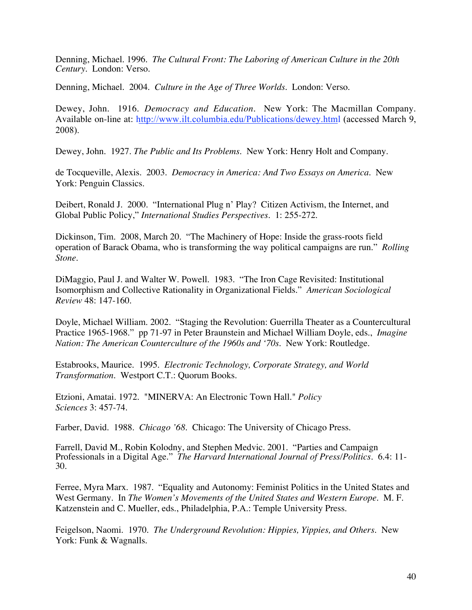Denning, Michael. 1996. *The Cultural Front: The Laboring of American Culture in the 20th Century*. London: Verso.

Denning, Michael. 2004. *Culture in the Age of Three Worlds.* London: Verso.

Dewey, John. 1916. *Democracy and Education*. New York: The Macmillan Company. Available on-line at: http://www.ilt.columbia.edu/Publications/dewey.html (accessed March 9, 2008).

Dewey, John. 1927. *The Public and Its Problems*. New York: Henry Holt and Company.

de Tocqueville, Alexis. 2003. *Democracy in America: And Two Essays on America.* New York: Penguin Classics.

Deibert, Ronald J. 2000. "International Plug n' Play? Citizen Activism, the Internet, and Global Public Policy," *International Studies Perspectives.* 1: 255-272.

Dickinson, Tim. 2008, March 20. "The Machinery of Hope: Inside the grass-roots field operation of Barack Obama, who is transforming the way political campaigns are run." *Rolling Stone.*

DiMaggio, Paul J. and Walter W. Powell. 1983. "The Iron Cage Revisited: Institutional Isomorphism and Collective Rationality in Organizational Fields." *American Sociological Review* 48: 147-160.

Doyle, Michael William. 2002. "Staging the Revolution: Guerrilla Theater as a Countercultural Practice 1965-1968." pp 71-97 in Peter Braunstein and Michael William Doyle, eds., *Imagine Nation: The American Counterculture of the 1960s and '70s.* New York: Routledge.

Estabrooks, Maurice. 1995. *Electronic Technology, Corporate Strategy, and World Transformation.* Westport C.T.: Quorum Books.

Etzioni, Amatai. 1972. "MINERVA: An Electronic Town Hall." *Policy Sciences* 3: 457-74.

Farber, David. 1988. *Chicago '68*. Chicago: The University of Chicago Press.

Farrell, David M., Robin Kolodny, and Stephen Medvic. 2001. "Parties and Campaign Professionals in a Digital Age." *The Harvard International Journal of Press/Politics*. 6.4: 11- 30.

Ferree, Myra Marx. 1987. "Equality and Autonomy: Feminist Politics in the United States and West Germany. In *The Women's Movements of the United States and Western Europe.* M. F. Katzenstein and C. Mueller, eds., Philadelphia, P.A.: Temple University Press.

Feigelson, Naomi. 1970. *The Underground Revolution: Hippies, Yippies, and Others*. New York: Funk & Wagnalls.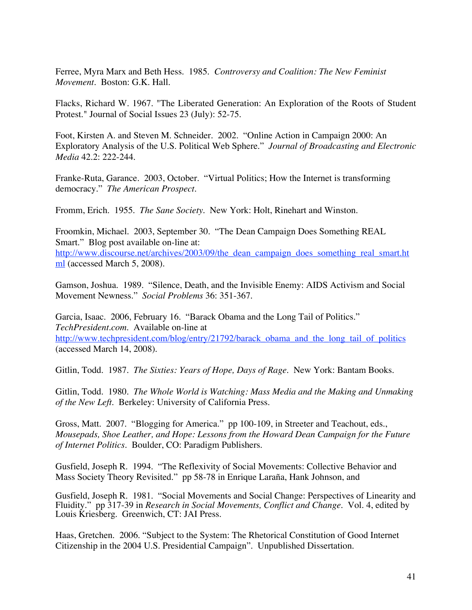Ferree, Myra Marx and Beth Hess. 1985. *Controversy and Coalition: The New Feminist Movement.* Boston: G.K. Hall.

Flacks, Richard W. 1967. "The Liberated Generation: An Exploration of the Roots of Student Protest." Journal of Social Issues 23 (July): 52-75.

Foot, Kirsten A. and Steven M. Schneider. 2002. "Online Action in Campaign 2000: An Exploratory Analysis of the U.S. Political Web Sphere." *Journal of Broadcasting and Electronic Media* 42.2: 222-244.

Franke-Ruta, Garance. 2003, October. "Virtual Politics; How the Internet is transforming democracy." *The American Prospect.*

Fromm, Erich. 1955. *The Sane Society.* New York: Holt, Rinehart and Winston.

Froomkin, Michael. 2003, September 30. "The Dean Campaign Does Something REAL Smart." Blog post available on-line at: http://www.discourse.net/archives/2003/09/the\_dean\_campaign\_does\_something\_real\_smart.ht ml (accessed March 5, 2008).

Gamson, Joshua. 1989. "Silence, Death, and the Invisible Enemy: AIDS Activism and Social Movement Newness." *Social Problems* 36: 351-367.

Garcia, Isaac. 2006, February 16. "Barack Obama and the Long Tail of Politics." *TechPresident.com*. Available on-line at http://www.techpresident.com/blog/entry/21792/barack\_obama\_and\_the\_long\_tail\_of\_politics (accessed March 14, 2008).

Gitlin, Todd. 1987. *The Sixties: Years of Hope, Days of Rage*. New York: Bantam Books.

Gitlin, Todd. 1980. *The Whole World is Watching: Mass Media and the Making and Unmaking of the New Left.* Berkeley: University of California Press.

Gross, Matt. 2007. "Blogging for America." pp 100-109, in Streeter and Teachout, eds., *Mousepads, Shoe Leather, and Hope: Lessons from the Howard Dean Campaign for the Future of Internet Politics*. Boulder, CO: Paradigm Publishers.

Gusfield, Joseph R. 1994. "The Reflexivity of Social Movements: Collective Behavior and Mass Society Theory Revisited." pp 58-78 in Enrique Laraña, Hank Johnson, and

Gusfield, Joseph R. 1981. "Social Movements and Social Change: Perspectives of Linearity and Fluidity." pp 317-39 in *Research in Social Movements, Conflict and Change.* Vol. 4, edited by Louis Kriesberg. Greenwich, CT: JAI Press.

Haas, Gretchen. 2006. "Subject to the System: The Rhetorical Constitution of Good Internet Citizenship in the 2004 U.S. Presidential Campaign". Unpublished Dissertation.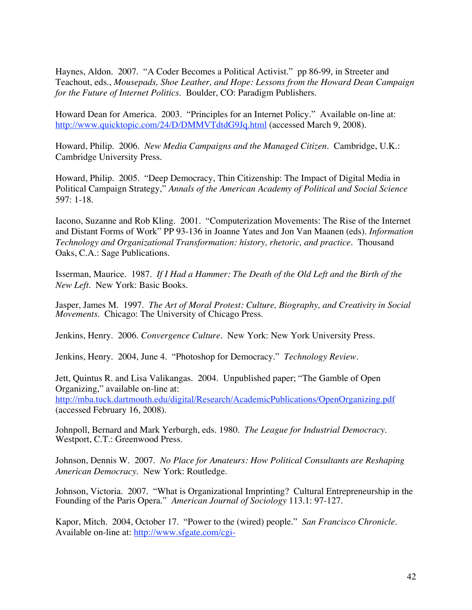Haynes, Aldon. 2007. "A Coder Becomes a Political Activist." pp 86-99, in Streeter and Teachout, eds., *Mousepads, Shoe Leather, and Hope: Lessons from the Howard Dean Campaign for the Future of Internet Politics*. Boulder, CO: Paradigm Publishers.

Howard Dean for America. 2003. "Principles for an Internet Policy." Available on-line at: http://www.quicktopic.com/24/D/DMMVTdtdG9Jq.html (accessed March 9, 2008).

Howard, Philip. 2006. *New Media Campaigns and the Managed Citizen.* Cambridge, U.K.: Cambridge University Press.

Howard, Philip. 2005. "Deep Democracy, Thin Citizenship: The Impact of Digital Media in Political Campaign Strategy," *Annals of the American Academy of Political and Social Science* 597: 1-18.

Iacono, Suzanne and Rob Kling. 2001. "Computerization Movements: The Rise of the Internet and Distant Forms of Work" PP 93-136 in Joanne Yates and Jon Van Maanen (eds). *Information Technology and Organizational Transformation: history, rhetoric, and practice.* Thousand Oaks, C.A.: Sage Publications.

Isserman, Maurice. 1987. *If I Had a Hammer: The Death of the Old Left and the Birth of the New Left.* New York: Basic Books.

Jasper, James M. 1997. *The Art of Moral Protest: Culture, Biography, and Creativity in Social Movements.* Chicago: The University of Chicago Press.

Jenkins, Henry. 2006. *Convergence Culture*. New York: New York University Press.

Jenkins, Henry. 2004, June 4. "Photoshop for Democracy." *Technology Review*.

Jett, Quintus R. and Lisa Valikangas. 2004. Unpublished paper; "The Gamble of Open Organizing," available on-line at: http://mba.tuck.dartmouth.edu/digital/Research/AcademicPublications/OpenOrganizing.pdf (accessed February 16, 2008).

Johnpoll, Bernard and Mark Yerburgh, eds. 1980. *The League for Industrial Democracy*. Westport, C.T.: Greenwood Press.

Johnson, Dennis W. 2007. *No Place for Amateurs: How Political Consultants are Reshaping American Democracy*. New York: Routledge.

Johnson, Victoria. 2007. "What is Organizational Imprinting? Cultural Entrepreneurship in the Founding of the Paris Opera." *American Journal of Sociology* 113.1: 97-127.

Kapor, Mitch. 2004, October 17. "Power to the (wired) people." *San Francisco Chronicle.* Available on-line at: http://www.sfgate.com/cgi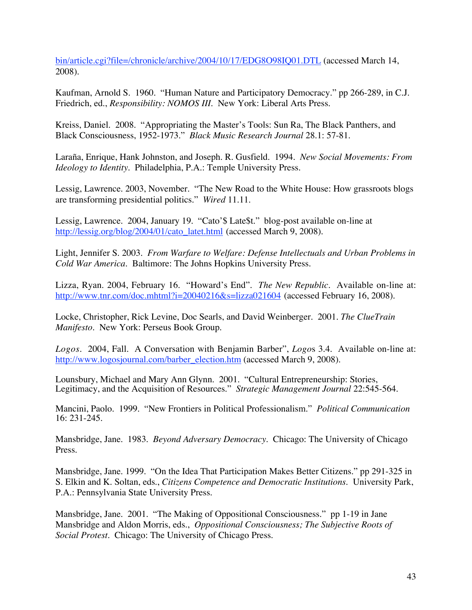bin/article.cgi?file=/chronicle/archive/2004/10/17/EDG8O98IQ01.DTL (accessed March 14, 2008).

Kaufman, Arnold S. 1960. "Human Nature and Participatory Democracy." pp 266-289, in C.J. Friedrich, ed., *Responsibility: NOMOS III.* New York: Liberal Arts Press.

Kreiss, Daniel. 2008. "Appropriating the Master's Tools: Sun Ra, The Black Panthers, and Black Consciousness, 1952-1973." *Black Music Research Journal* 28.1: 57-81.

Laraña, Enrique, Hank Johnston, and Joseph. R. Gusfield. 1994. *New Social Movements: From Ideology to Identity.* Philadelphia, P.A.: Temple University Press.

Lessig, Lawrence. 2003, November. "The New Road to the White House: How grassroots blogs are transforming presidential politics." *Wired* 11.11.

Lessig, Lawrence. 2004, January 19. "Cato'\$ Late\$t." blog-post available on-line at http://lessig.org/blog/2004/01/cato\_latet.html (accessed March 9, 2008).

Light, Jennifer S. 2003. *From Warfare to Welfare: Defense Intellectuals and Urban Problems in Cold War America*. Baltimore: The Johns Hopkins University Press.

Lizza, Ryan. 2004, February 16. "Howard's End". *The New Republic.* Available on-line at: http://www.tnr.com/doc.mhtml?i=20040216&s=lizza021604 (accessed February 16, 2008).

Locke, Christopher, Rick Levine, Doc Searls, and David Weinberger. 2001. *The ClueTrain Manifesto*. New York: Perseus Book Group.

*Logos*. 2004, Fall. A Conversation with Benjamin Barber", *Logo*s 3.4. Available on-line at: http://www.logosjournal.com/barber\_election.htm (accessed March 9, 2008).

Lounsbury, Michael and Mary Ann Glynn. 2001. "Cultural Entrepreneurship: Stories, Legitimacy, and the Acquisition of Resources." *Strategic Management Journal* 22:545-564.

Mancini, Paolo. 1999. "New Frontiers in Political Professionalism." *Political Communication* 16: 231-245.

Mansbridge, Jane. 1983. *Beyond Adversary Democracy*. Chicago: The University of Chicago Press.

Mansbridge, Jane. 1999. "On the Idea That Participation Makes Better Citizens." pp 291-325 in S. Elkin and K. Soltan, eds., *Citizens Competence and Democratic Institutions.* University Park, P.A.: Pennsylvania State University Press.

Mansbridge, Jane. 2001. "The Making of Oppositional Consciousness." pp 1-19 in Jane Mansbridge and Aldon Morris, eds., *Oppositional Consciousness; The Subjective Roots of Social Protest.* Chicago: The University of Chicago Press.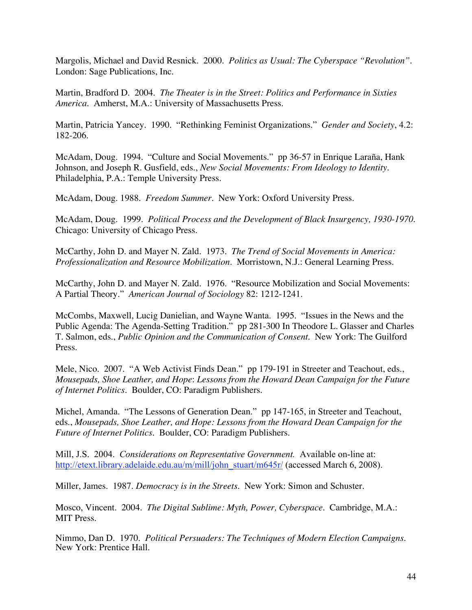Margolis, Michael and David Resnick. 2000. *Politics as Usual: The Cyberspace "Revolution".* London: Sage Publications, Inc.

Martin, Bradford D. 2004. *The Theater is in the Street: Politics and Performance in Sixties America.* Amherst, M.A.: University of Massachusetts Press.

Martin, Patricia Yancey. 1990. "Rethinking Feminist Organizations." *Gender and Society*, 4.2: 182-206.

McAdam, Doug. 1994. "Culture and Social Movements." pp 36-57 in Enrique Laraña, Hank Johnson, and Joseph R. Gusfield, eds., *New Social Movements: From Ideology to Identity*. Philadelphia, P.A.: Temple University Press.

McAdam, Doug. 1988. *Freedom Summer.* New York: Oxford University Press.

McAdam, Doug. 1999. *Political Process and the Development of Black Insurgency, 1930-1970*. Chicago: University of Chicago Press.

McCarthy, John D. and Mayer N. Zald. 1973. *The Trend of Social Movements in America: Professionalization and Resource Mobilization.* Morristown, N.J.: General Learning Press.

McCarthy, John D. and Mayer N. Zald. 1976. "Resource Mobilization and Social Movements: A Partial Theory." *American Journal of Sociology* 82: 1212-1241.

McCombs, Maxwell, Lucig Danielian, and Wayne Wanta. 1995. "Issues in the News and the Public Agenda: The Agenda-Setting Tradition." pp 281-300 In Theodore L. Glasser and Charles T. Salmon, eds., *Public Opinion and the Communication of Consent*. New York: The Guilford Press.

Mele, Nico. 2007. "A Web Activist Finds Dean." pp 179-191 in Streeter and Teachout, eds., *Mousepads, Shoe Leather, and Hope*: *Lessons from the Howard Dean Campaign for the Future of Internet Politics*. Boulder, CO: Paradigm Publishers.

Michel, Amanda. "The Lessons of Generation Dean." pp 147-165, in Streeter and Teachout, eds., *Mousepads, Shoe Leather, and Hope: Lessons from the Howard Dean Campaign for the Future of Internet Politics*. Boulder, CO: Paradigm Publishers.

Mill, J.S. 2004. *Considerations on Representative Government.* Available on-line at: http://etext.library.adelaide.edu.au/m/mill/john\_stuart/m645r/ (accessed March 6, 2008).

Miller, James. 1987. *Democracy is in the Streets*. New York: Simon and Schuster.

Mosco, Vincent. 2004. *The Digital Sublime: Myth, Power, Cyberspace*. Cambridge, M.A.: MIT Press.

Nimmo, Dan D. 1970. *Political Persuaders: The Techniques of Modern Election Campaigns.* New York: Prentice Hall.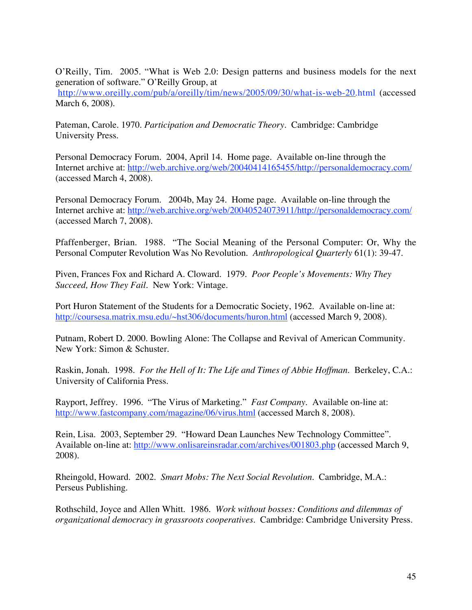O'Reilly, Tim. 2005. "What is Web 2.0: Design patterns and business models for the next generation of software." O'Reilly Group, at

http://www.oreilly.com/pub/a/oreilly/tim/news/2005/09/30/what-is-web-20.html (accessed March 6, 2008).

Pateman, Carole. 1970. *Participation and Democratic Theory*. Cambridge: Cambridge University Press.

Personal Democracy Forum. 2004, April 14. Home page. Available on-line through the Internet archive at: http://web.archive.org/web/20040414165455/http://personaldemocracy.com/ (accessed March 4, 2008).

Personal Democracy Forum. 2004b, May 24. Home page. Available on-line through the Internet archive at: http://web.archive.org/web/20040524073911/http://personaldemocracy.com/ (accessed March 7, 2008).

Pfaffenberger, Brian. 1988. "The Social Meaning of the Personal Computer: Or, Why the Personal Computer Revolution Was No Revolution. *Anthropological Quarterly* 61(1): 39-47.

Piven, Frances Fox and Richard A. Cloward. 1979. *Poor People's Movements: Why They Succeed, How They Fail*. New York: Vintage.

Port Huron Statement of the Students for a Democratic Society, 1962. Available on-line at: http://coursesa.matrix.msu.edu/~hst306/documents/huron.html (accessed March 9, 2008).

Putnam, Robert D. 2000. Bowling Alone: The Collapse and Revival of American Community. New York: Simon & Schuster.

Raskin, Jonah. 1998. *For the Hell of It: The Life and Times of Abbie Hoffman*. Berkeley, C.A.: University of California Press.

Rayport, Jeffrey. 1996. "The Virus of Marketing." *Fast Company.* Available on-line at: http://www.fastcompany.com/magazine/06/virus.html (accessed March 8, 2008).

Rein, Lisa. 2003, September 29. "Howard Dean Launches New Technology Committee". Available on-line at: http://www.onlisareinsradar.com/archives/001803.php (accessed March 9, 2008).

Rheingold, Howard. 2002. *Smart Mobs: The Next Social Revolution.* Cambridge, M.A.: Perseus Publishing.

Rothschild, Joyce and Allen Whitt. 1986. *Work without bosses: Conditions and dilemmas of organizational democracy in grassroots cooperatives.* Cambridge: Cambridge University Press.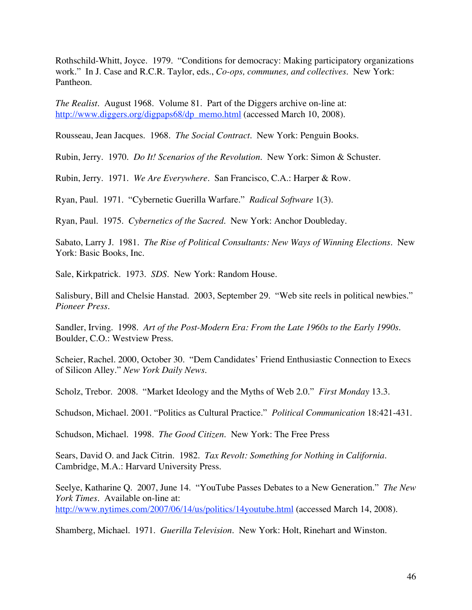Rothschild-Whitt, Joyce. 1979. "Conditions for democracy: Making participatory organizations work." In J. Case and R.C.R. Taylor, eds., *Co-ops, communes, and collectives*. New York: Pantheon.

*The Realist*. August 1968. Volume 81. Part of the Diggers archive on-line at: http://www.diggers.org/digpaps68/dp\_memo.html (accessed March 10, 2008).

Rousseau, Jean Jacques. 1968. *The Social Contract.* New York: Penguin Books.

Rubin, Jerry. 1970. *Do It! Scenarios of the Revolution.* New York: Simon & Schuster.

Rubin, Jerry. 1971. *We Are Everywhere.* San Francisco, C.A.: Harper & Row.

Ryan, Paul. 1971. "Cybernetic Guerilla Warfare." *Radical Software* 1(3).

Ryan, Paul. 1975. *Cybernetics of the Sacred*. New York: Anchor Doubleday.

Sabato, Larry J. 1981. *The Rise of Political Consultants: New Ways of Winning Elections*. New York: Basic Books, Inc.

Sale, Kirkpatrick. 1973. *SDS.* New York: Random House.

Salisbury, Bill and Chelsie Hanstad. 2003, September 29. "Web site reels in political newbies." *Pioneer Press.*

Sandler, Irving. 1998. *Art of the Post-Modern Era: From the Late 1960s to the Early 1990s.* Boulder, C.O.: Westview Press.

Scheier, Rachel. 2000, October 30. "Dem Candidates' Friend Enthusiastic Connection to Execs of Silicon Alley." *New York Daily News*.

Scholz, Trebor. 2008. "Market Ideology and the Myths of Web 2.0." *First Monday* 13.3.

Schudson, Michael. 2001. "Politics as Cultural Practice." *Political Communication* 18:421-431.

Schudson, Michael. 1998. *The Good Citizen*. New York: The Free Press

Sears, David O. and Jack Citrin. 1982. *Tax Revolt: Something for Nothing in California.* Cambridge, M.A.: Harvard University Press.

Seelye, Katharine Q. 2007, June 14. "YouTube Passes Debates to a New Generation." *The New York Times.* Available on-line at: http://www.nytimes.com/2007/06/14/us/politics/14youtube.html (accessed March 14, 2008).

Shamberg, Michael. 1971. *Guerilla Television*. New York: Holt, Rinehart and Winston.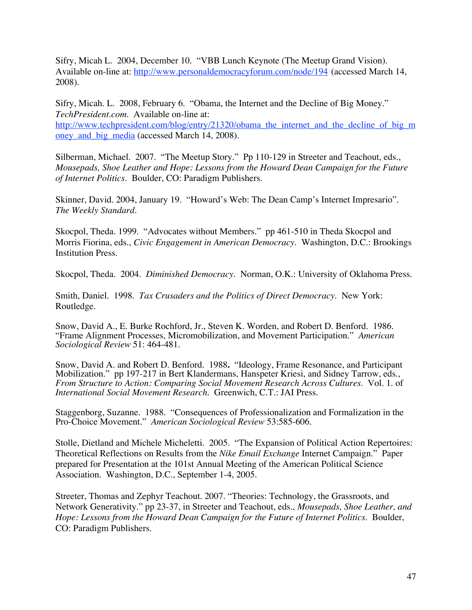Sifry, Micah L. 2004, December 10. "VBB Lunch Keynote (The Meetup Grand Vision). Available on-line at: http://www.personaldemocracyforum.com/node/194 (accessed March 14, 2008).

Sifry, Micah. L. 2008, February 6. "Obama, the Internet and the Decline of Big Money." *TechPresident.com*. Available on-line at: http://www.techpresident.com/blog/entry/21320/obama the internet and the decline of big m oney\_and\_big\_media (accessed March 14, 2008).

Silberman, Michael. 2007. "The Meetup Story." Pp 110-129 in Streeter and Teachout, eds., *Mousepads, Shoe Leather and Hope: Lessons from the Howard Dean Campaign for the Future of Internet Politics*. Boulder, CO: Paradigm Publishers.

Skinner, David. 2004, January 19. "Howard's Web: The Dean Camp's Internet Impresario". *The Weekly Standard.*

Skocpol, Theda. 1999. "Advocates without Members." pp 461-510 in Theda Skocpol and Morris Fiorina, eds., *Civic Engagement in American Democracy*. Washington, D.C.: Brookings Institution Press.

Skocpol, Theda. 2004. *Diminished Democracy*. Norman, O.K.: University of Oklahoma Press.

Smith, Daniel. 1998. *Tax Crusaders and the Politics of Direct Democracy*. New York: Routledge.

Snow, David A., E. Burke Rochford, Jr., Steven K. Worden, and Robert D. Benford. 1986. "Frame Alignment Processes, Micromobilization, and Movement Participation." *American Sociological Review* 51: 464-481.

Snow, David A. and Robert D. Benford. 1988**.** "Ideology, Frame Resonance, and Participant Mobilization." pp 197-217 in Bert Klandermans, Hanspeter Kriesi, and Sidney Tarrow, eds., *From Structure to Action: Comparing Social Movement Research Across Cultures*. Vol. 1. of *International Social Movement Research.* Greenwich, C.T.: JAI Press.

Staggenborg, Suzanne. 1988. "Consequences of Professionalization and Formalization in the Pro-Choice Movement." *American Sociological Review* 53:585-606.

Stolle, Dietland and Michele Micheletti. 2005. "The Expansion of Political Action Repertoires: Theoretical Reflections on Results from the *Nike Email Exchange* Internet Campaign." Paper prepared for Presentation at the 101st Annual Meeting of the American Political Science Association. Washington, D.C., September 1-4, 2005.

Streeter, Thomas and Zephyr Teachout. 2007. "Theories: Technology, the Grassroots, and Network Generativity." pp 23-37, in Streeter and Teachout, eds., *Mousepads, Shoe Leather, and Hope: Lessons from the Howard Dean Campaign for the Future of Internet Politics*. Boulder, CO: Paradigm Publishers.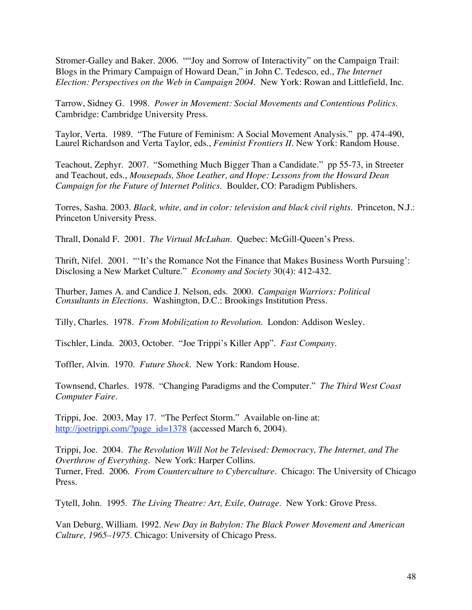Stromer-Galley and Baker. 2006. ""Joy and Sorrow of Interactivity" on the Campaign Trail: Blogs in the Primary Campaign of Howard Dean," in John C. Tedesco, ed., *The Internet Election: Perspectives on the Web in Campaign 2004*. New York: Rowan and Littlefield, Inc.

Tarrow, Sidney G. 1998. *Power in Movement: Social Movements and Contentious Politics*. Cambridge: Cambridge University Press.

Taylor, Verta. 1989. "The Future of Feminism: A Social Movement Analysis." pp. 474-490, Laurel Richardson and Verta Taylor, eds., *Feminist Frontiers II*. New York: Random House.

Teachout, Zephyr. 2007. "Something Much Bigger Than a Candidate." pp 55-73, in Streeter and Teachout, eds., *Mousepads, Shoe Leather, and Hope: Lessons from the Howard Dean Campaign for the Future of Internet Politics*. Boulder, CO: Paradigm Publishers.

Torres, Sasha. 2003. *Black, white, and in color: television and black civil rights*. Princeton, N.J.: Princeton University Press.

Thrall, Donald F. 2001. *The Virtual McLuhan.* Quebec: McGill-Queen's Press.

Thrift, Nifel. 2001. "'It's the Romance Not the Finance that Makes Business Worth Pursuing': Disclosing a New Market Culture." *Economy and Society* 30(4): 412-432.

Thurber, James A. and Candice J. Nelson, eds. 2000. *Campaign Warriors: Political Consultants in Elections.* Washington, D.C.: Brookings Institution Press.

Tilly, Charles. 1978. *From Mobilization to Revolution*. London: Addison Wesley.

Tischler, Linda. 2003, October. "Joe Trippi's Killer App". *Fast Company.*

Toffler, Alvin. 1970. *Future Shock*. New York: Random House.

Townsend, Charles. 1978. "Changing Paradigms and the Computer." *The Third West Coast Computer Faire.*

Trippi, Joe. 2003, May 17. "The Perfect Storm." Available on-line at: http://joetrippi.com/?page\_id=1378 (accessed March 6, 2004).

Trippi, Joe. 2004. *The Revolution Will Not be Televised: Democracy, The Internet, and The Overthrow of Everything*. New York: Harper Collins. Turner, Fred. 2006. *From Counterculture to Cyberculture.* Chicago: The University of Chicago Press.

Tytell, John. 1995. *The Living Theatre: Art, Exile, Outrage*. New York: Grove Press.

Van Deburg, William. 1992. *New Day in Babylon: The Black Power Movement and American Culture, 1965–1975*. Chicago: University of Chicago Press.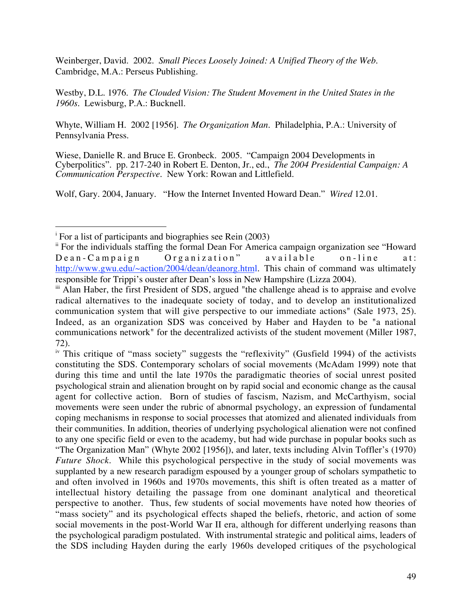Weinberger, David. 2002. *Small Pieces Loosely Joined: A Unified Theory of the Web.* Cambridge, M.A.: Perseus Publishing.

Westby, D.L. 1976. *The Clouded Vision: The Student Movement in the United States in the 1960s.* Lewisburg, P.A.: Bucknell.

Whyte, William H. 2002 [1956]. *The Organization Man*. Philadelphia, P.A.: University of Pennsylvania Press.

Wiese, Danielle R. and Bruce E. Gronbeck. 2005. "Campaign 2004 Developments in Cyberpolitics". pp. 217-240 in Robert E. Denton, Jr., ed., *The 2004 Presidential Campaign: A Communication Perspective*. New York: Rowan and Littlefield.

Wolf, Gary. 2004, January. "How the Internet Invented Howard Dean." *Wired* 12.01.

<sup>|&</sup>lt;br>i  $\mathrm{F}$  For a list of participants and biographies see Rein (2003)

<sup>&</sup>lt;sup>ii</sup> For the individuals staffing the formal Dean For America campaign organization see "Howard" Dean-Campaign Organization" available on-line at: http://www.gwu.edu/~action/2004/dean/deanorg.html. This chain of command was ultimately responsible for Trippi's ouster after Dean's loss in New Hampshire (Lizza 2004).

<sup>&</sup>lt;sup>iii</sup> Alan Haber, the first President of SDS, argued "the challenge ahead is to appraise and evolve radical alternatives to the inadequate society of today, and to develop an institutionalized communication system that will give perspective to our immediate actions" (Sale 1973, 25). Indeed, as an organization SDS was conceived by Haber and Hayden to be "a national communications network" for the decentralized activists of the student movement (Miller 1987, 72).

iv This critique of "mass society" suggests the "reflexivity" (Gusfield 1994) of the activists constituting the SDS. Contemporary scholars of social movements (McAdam 1999) note that during this time and until the late 1970s the paradigmatic theories of social unrest posited psychological strain and alienation brought on by rapid social and economic change as the causal agent for collective action. Born of studies of fascism, Nazism, and McCarthyism, social movements were seen under the rubric of abnormal psychology, an expression of fundamental coping mechanisms in response to social processes that atomized and alienated individuals from their communities. In addition, theories of underlying psychological alienation were not confined to any one specific field or even to the academy, but had wide purchase in popular books such as "The Organization Man" (Whyte 2002 [1956]), and later, texts including Alvin Toffler's (1970) *Future Shock*. While this psychological perspective in the study of social movements was supplanted by a new research paradigm espoused by a younger group of scholars sympathetic to and often involved in 1960s and 1970s movements, this shift is often treated as a matter of intellectual history detailing the passage from one dominant analytical and theoretical perspective to another. Thus, few students of social movements have noted how theories of "mass society" and its psychological effects shaped the beliefs, rhetoric, and action of some social movements in the post-World War II era, although for different underlying reasons than the psychological paradigm postulated. With instrumental strategic and political aims, leaders of the SDS including Hayden during the early 1960s developed critiques of the psychological